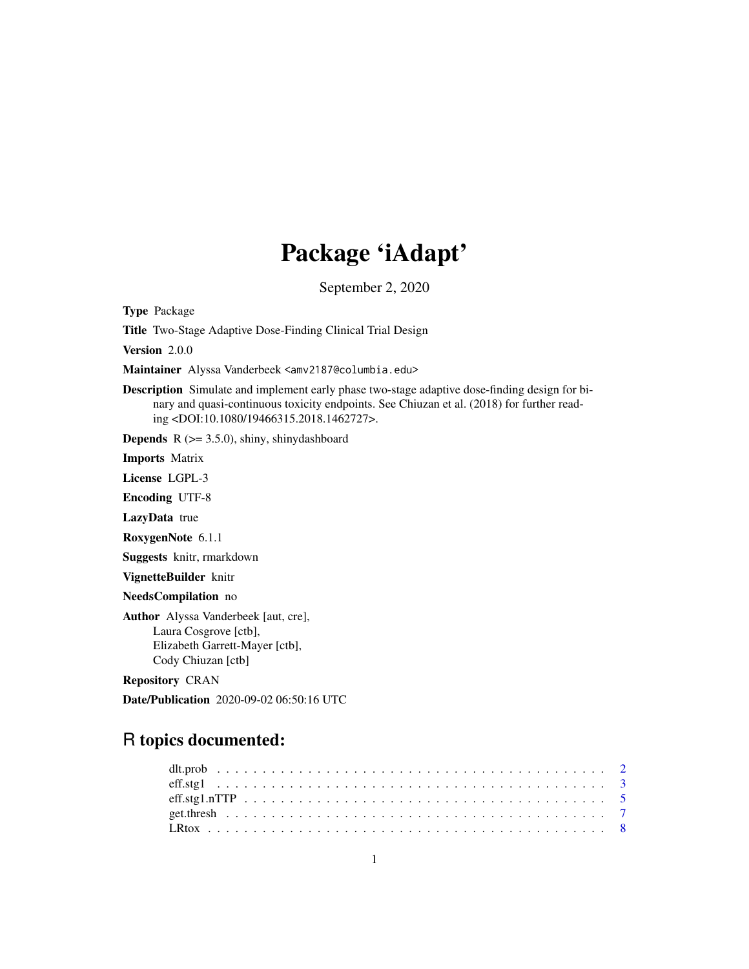# Package 'iAdapt'

September 2, 2020

Type Package

Title Two-Stage Adaptive Dose-Finding Clinical Trial Design

Version 2.0.0

Maintainer Alyssa Vanderbeek <amv2187@columbia.edu>

Description Simulate and implement early phase two-stage adaptive dose-finding design for binary and quasi-continuous toxicity endpoints. See Chiuzan et al. (2018) for further reading <DOI:10.1080/19466315.2018.1462727>.

**Depends** R  $(>= 3.5.0)$ , shiny, shinydashboard

Imports Matrix

License LGPL-3

Encoding UTF-8

LazyData true

RoxygenNote 6.1.1

Suggests knitr, rmarkdown

VignetteBuilder knitr

NeedsCompilation no

Author Alyssa Vanderbeek [aut, cre], Laura Cosgrove [ctb], Elizabeth Garrett-Mayer [ctb], Cody Chiuzan [ctb]

Repository CRAN

Date/Publication 2020-09-02 06:50:16 UTC

# R topics documented: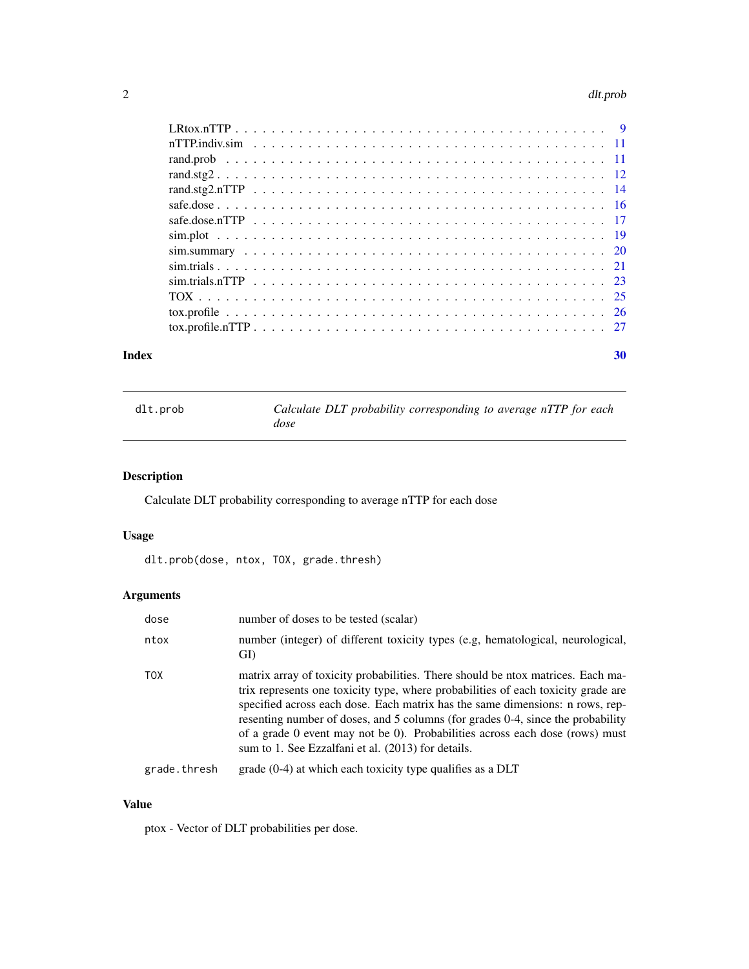#### <span id="page-1-0"></span>2 dlt.prob

| Index | 30 |
|-------|----|

| dlt.prob | Calculate DLT probability corresponding to average nTTP for each |
|----------|------------------------------------------------------------------|
|          | dose                                                             |

# Description

Calculate DLT probability corresponding to average nTTP for each dose

# Usage

dlt.prob(dose, ntox, TOX, grade.thresh)

# Arguments

| dose         | number of doses to be tested (scalar)                                                                                                                                                                                                                                                                                                                                                                                                                                          |
|--------------|--------------------------------------------------------------------------------------------------------------------------------------------------------------------------------------------------------------------------------------------------------------------------------------------------------------------------------------------------------------------------------------------------------------------------------------------------------------------------------|
| ntox         | number (integer) of different toxicity types (e.g. hematological, neurological,<br>GI)                                                                                                                                                                                                                                                                                                                                                                                         |
| TOX          | matrix array of toxicity probabilities. There should be ntox matrices. Each ma-<br>trix represents one toxicity type, where probabilities of each toxicity grade are<br>specified across each dose. Each matrix has the same dimensions: n rows, rep-<br>resenting number of doses, and 5 columns (for grades 0-4, since the probability<br>of a grade 0 event may not be 0). Probabilities across each dose (rows) must<br>sum to 1. See Ezzalfani et al. (2013) for details. |
| grade.thresh | grade (0-4) at which each toxicity type qualifies as a DLT                                                                                                                                                                                                                                                                                                                                                                                                                     |

#### Value

ptox - Vector of DLT probabilities per dose.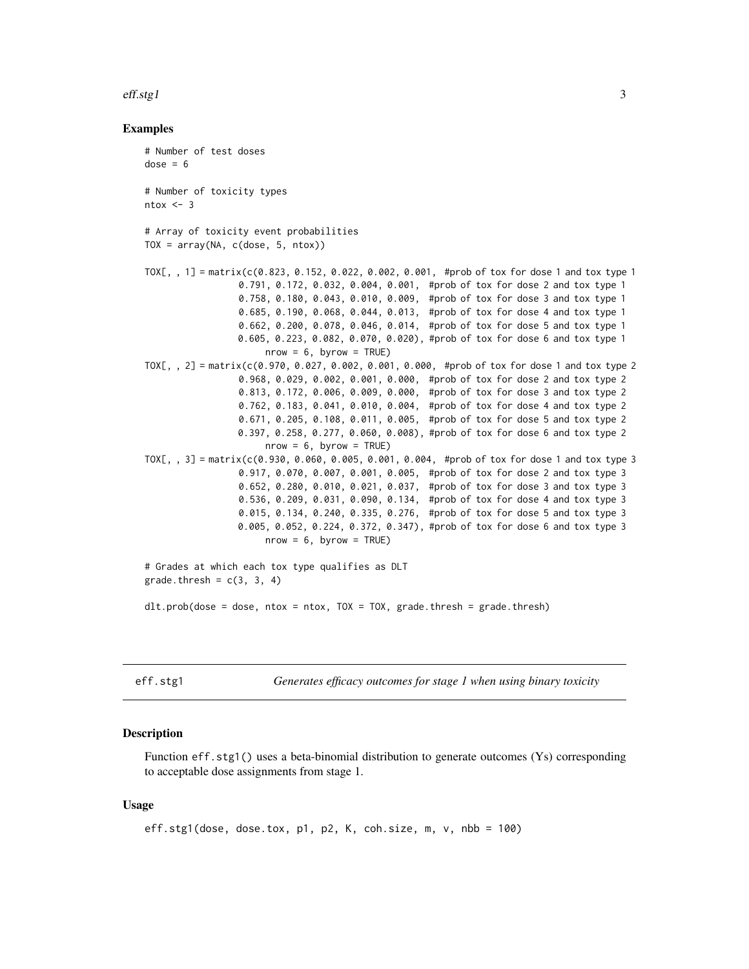#### <span id="page-2-0"></span>eff.stg1 3

#### Examples

# Number of test doses  $dose = 6$ # Number of toxicity types  $ntox < -3$ # Array of toxicity event probabilities  $TOX = array(NA, c(dose, 5, ntox))$ TOX[, , 1] = matrix(c(0.823, 0.152, 0.022, 0.002, 0.001, #prob of tox for dose 1 and tox type 1 0.791, 0.172, 0.032, 0.004, 0.001, #prob of tox for dose 2 and tox type 1 0.758, 0.180, 0.043, 0.010, 0.009, #prob of tox for dose 3 and tox type 1 0.685, 0.190, 0.068, 0.044, 0.013, #prob of tox for dose 4 and tox type 1 0.662, 0.200, 0.078, 0.046, 0.014, #prob of tox for dose 5 and tox type 1 0.605, 0.223, 0.082, 0.070, 0.020), #prob of tox for dose 6 and tox type 1  $nrow = 6$ , byrow = TRUE) TOX[,, 2] = matrix( $c(0.970, 0.027, 0.002, 0.001, 0.000,$ #prob of tox for dose 1 and tox type 2 0.968, 0.029, 0.002, 0.001, 0.000, #prob of tox for dose 2 and tox type 2 0.813, 0.172, 0.006, 0.009, 0.000, #prob of tox for dose 3 and tox type 2 0.762, 0.183, 0.041, 0.010, 0.004, #prob of tox for dose 4 and tox type 2 0.671, 0.205, 0.108, 0.011, 0.005, #prob of tox for dose 5 and tox type 2 0.397, 0.258, 0.277, 0.060, 0.008), #prob of tox for dose 6 and tox type 2  $nrow = 6$ , byrow = TRUE) TOX[, , 3] = matrix(c(0.930, 0.060, 0.005, 0.001, 0.004, #prob of tox for dose 1 and tox type 3 0.917, 0.070, 0.007, 0.001, 0.005, #prob of tox for dose 2 and tox type 3 0.652, 0.280, 0.010, 0.021, 0.037, #prob of tox for dose 3 and tox type 3 0.536, 0.209, 0.031, 0.090, 0.134, #prob of tox for dose 4 and tox type 3 0.015, 0.134, 0.240, 0.335, 0.276, #prob of tox for dose 5 and tox type 3 0.005, 0.052, 0.224, 0.372, 0.347), #prob of tox for dose 6 and tox type 3  $nrow = 6$ , byrow = TRUE) # Grades at which each tox type qualifies as DLT grade.thresh =  $c(3, 3, 4)$ dlt.prob(dose = dose, ntox = ntox, TOX = TOX, grade.thresh = grade.thresh)

eff.stg1 *Generates efficacy outcomes for stage 1 when using binary toxicity*

## Description

Function eff.stg1() uses a beta-binomial distribution to generate outcomes (Ys) corresponding to acceptable dose assignments from stage 1.

#### Usage

```
eff.stg1(dose, dose.tox, p1, p2, K, coh.size, m, v, nbb = 100)
```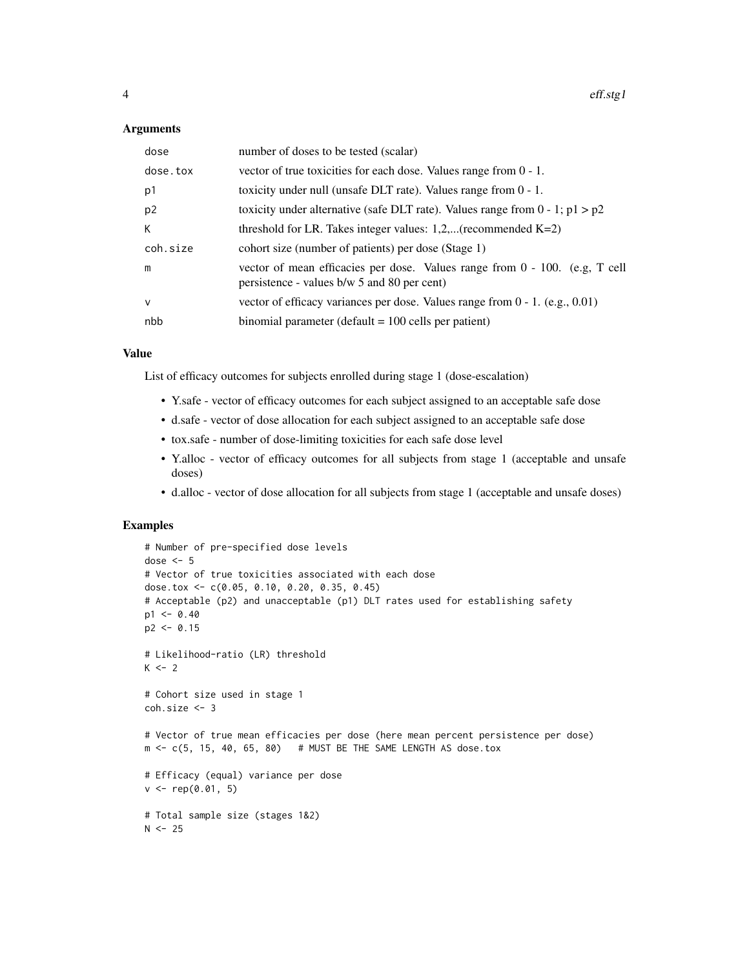#### Arguments

| dose           | number of doses to be tested (scalar)                                                                                       |  |  |  |  |  |
|----------------|-----------------------------------------------------------------------------------------------------------------------------|--|--|--|--|--|
| dose.tox       | vector of true toxicities for each dose. Values range from $0 - 1$ .                                                        |  |  |  |  |  |
| p1             | toxicity under null (unsafe DLT rate). Values range from $0 - 1$ .                                                          |  |  |  |  |  |
| p <sub>2</sub> | toxicity under alternative (safe DLT rate). Values range from $0 - 1$ ; $p1 > p2$                                           |  |  |  |  |  |
| K              | threshold for LR. Takes integer values: $1,2,$ (recommended K=2)                                                            |  |  |  |  |  |
| coh.size       | cohort size (number of patients) per dose (Stage 1)                                                                         |  |  |  |  |  |
| m              | vector of mean efficacies per dose. Values range from 0 - 100. (e.g., T cell<br>persistence - values b/w 5 and 80 per cent) |  |  |  |  |  |
| $\vee$         | vector of efficacy variances per dose. Values range from $0 - 1$ . (e.g., 0.01)                                             |  |  |  |  |  |
| nbb            | binomial parameter (default $= 100$ cells per patient)                                                                      |  |  |  |  |  |

#### Value

List of efficacy outcomes for subjects enrolled during stage 1 (dose-escalation)

- Y.safe vector of efficacy outcomes for each subject assigned to an acceptable safe dose
- d.safe vector of dose allocation for each subject assigned to an acceptable safe dose
- tox.safe number of dose-limiting toxicities for each safe dose level
- Y.alloc vector of efficacy outcomes for all subjects from stage 1 (acceptable and unsafe doses)
- d.alloc vector of dose allocation for all subjects from stage 1 (acceptable and unsafe doses)

```
# Number of pre-specified dose levels
dose <- 5
# Vector of true toxicities associated with each dose
dose.tox <- c(0.05, 0.10, 0.20, 0.35, 0.45)
# Acceptable (p2) and unacceptable (p1) DLT rates used for establishing safety
p1 < -0.40p2 < -0.15# Likelihood-ratio (LR) threshold
K < -2# Cohort size used in stage 1
coh.size <- 3
# Vector of true mean efficacies per dose (here mean percent persistence per dose)
m \leq -c(5, 15, 40, 65, 80) # MUST BE THE SAME LENGTH AS dose.tox
# Efficacy (equal) variance per dose
v \leq - rep(0.01, 5)# Total sample size (stages 1&2)
N < - 25
```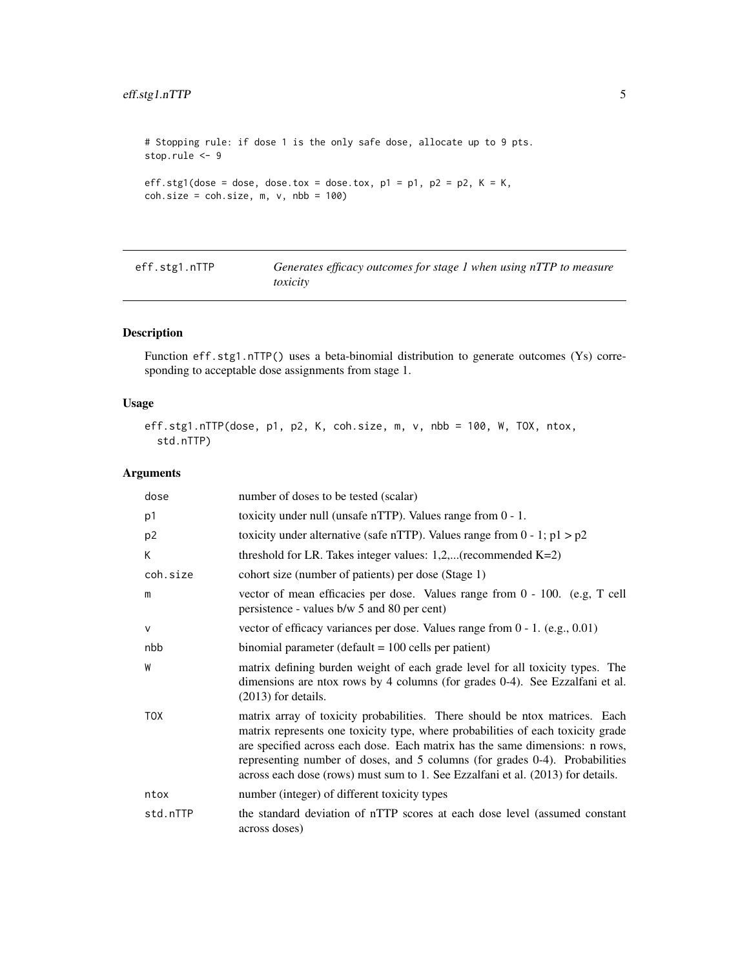# <span id="page-4-0"></span>eff.stg1.nTTP 5

```
# Stopping rule: if dose 1 is the only safe dose, allocate up to 9 pts.
stop.rule <- 9
eff.stg1(dose = dose, dose.tox = dose.tox, p1 = p1, p2 = p2, K = K,
coh.size = coh.size, m, v, nb = 100)
```

| eff.stg1.nTTP | Generates efficacy outcomes for stage 1 when using nTTP to measure |
|---------------|--------------------------------------------------------------------|
|               | toxicity                                                           |

# Description

Function eff.stg1.nTTP() uses a beta-binomial distribution to generate outcomes (Ys) corresponding to acceptable dose assignments from stage 1.

# Usage

```
eff.stg1.nTTP(dose, p1, p2, K, coh.size, m, v, nbb = 100, W, TOX, ntox,
 std.nTTP)
```

| dose           | number of doses to be tested (scalar)                                                                                                                                                                                                                                                                                                                                                                            |  |  |  |  |  |
|----------------|------------------------------------------------------------------------------------------------------------------------------------------------------------------------------------------------------------------------------------------------------------------------------------------------------------------------------------------------------------------------------------------------------------------|--|--|--|--|--|
| p1             | toxicity under null (unsafe nTTP). Values range from $0 - 1$ .                                                                                                                                                                                                                                                                                                                                                   |  |  |  |  |  |
| p <sub>2</sub> | toxicity under alternative (safe nTTP). Values range from $0 - 1$ ; $p1 > p2$                                                                                                                                                                                                                                                                                                                                    |  |  |  |  |  |
| К              | threshold for LR. Takes integer values: $1,2,$ (recommended K=2)                                                                                                                                                                                                                                                                                                                                                 |  |  |  |  |  |
| coh.size       | cohort size (number of patients) per dose (Stage 1)                                                                                                                                                                                                                                                                                                                                                              |  |  |  |  |  |
| m              | vector of mean efficacies per dose. Values range from 0 - 100. (e.g, T cell<br>persistence - values b/w 5 and 80 per cent)                                                                                                                                                                                                                                                                                       |  |  |  |  |  |
| $\vee$         | vector of efficacy variances per dose. Values range from $0 - 1$ . (e.g., 0.01)                                                                                                                                                                                                                                                                                                                                  |  |  |  |  |  |
| nbb            | binomial parameter (default $= 100$ cells per patient)                                                                                                                                                                                                                                                                                                                                                           |  |  |  |  |  |
| W              | matrix defining burden weight of each grade level for all toxicity types. The<br>dimensions are ntox rows by 4 columns (for grades 0-4). See Ezzalfani et al.<br>$(2013)$ for details.                                                                                                                                                                                                                           |  |  |  |  |  |
| <b>TOX</b>     | matrix array of toxicity probabilities. There should be ntox matrices. Each<br>matrix represents one toxicity type, where probabilities of each toxicity grade<br>are specified across each dose. Each matrix has the same dimensions: n rows,<br>representing number of doses, and 5 columns (for grades 0-4). Probabilities<br>across each dose (rows) must sum to 1. See Ezzalfani et al. (2013) for details. |  |  |  |  |  |
| ntox           | number (integer) of different toxicity types                                                                                                                                                                                                                                                                                                                                                                     |  |  |  |  |  |
| std.nTTP       | the standard deviation of nTTP scores at each dose level (assumed constant<br>across doses)                                                                                                                                                                                                                                                                                                                      |  |  |  |  |  |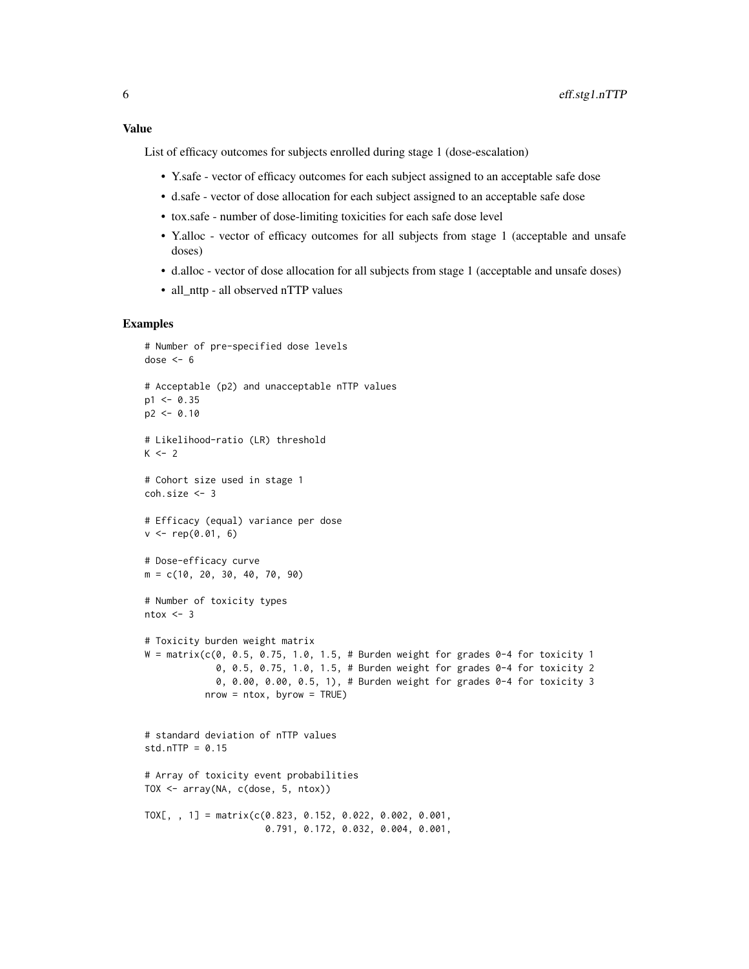List of efficacy outcomes for subjects enrolled during stage 1 (dose-escalation)

- Y.safe vector of efficacy outcomes for each subject assigned to an acceptable safe dose
- d.safe vector of dose allocation for each subject assigned to an acceptable safe dose
- tox.safe number of dose-limiting toxicities for each safe dose level
- Y.alloc vector of efficacy outcomes for all subjects from stage 1 (acceptable and unsafe doses)
- d.alloc vector of dose allocation for all subjects from stage 1 (acceptable and unsafe doses)
- all\_nttp all observed nTTP values

```
# Number of pre-specified dose levels
dose <-6# Acceptable (p2) and unacceptable nTTP values
p1 < -0.35p2 < -0.10# Likelihood-ratio (LR) threshold
K < -2# Cohort size used in stage 1
coh.size <- 3
# Efficacy (equal) variance per dose
v \leq -rep(0.01, 6)# Dose-efficacy curve
m = c(10, 20, 30, 40, 70, 90)
# Number of toxicity types
ntox < -3# Toxicity burden weight matrix
W = matrix(c(0, 0.5, 0.75, 1.0, 1.5, # Burden weight for grades 0-4 for toxicity 1)0, 0.5, 0.75, 1.0, 1.5, # Burden weight for grades 0-4 for toxicity 2
             0, 0.00, 0.00, 0.5, 1), # Burden weight for grades 0-4 for toxicity 3
           nrow = ntox, byrow = TRUE)
# standard deviation of nTTP values
std.nTTP = 0.15# Array of toxicity event probabilities
TOX <- array(NA, c(dose, 5, ntox))
TOX[, , 1] = matrix(c(0.823, 0.152, 0.022, 0.002, 0.001,
                     0.791, 0.172, 0.032, 0.004, 0.001,
```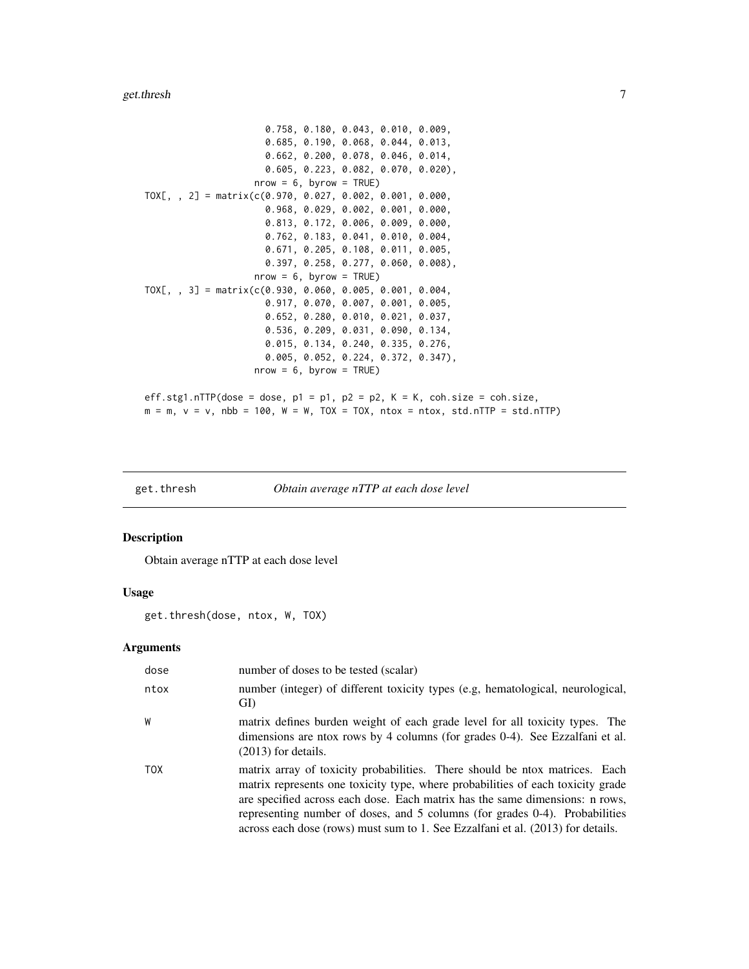#### <span id="page-6-0"></span>get.thresh 7

```
0.758, 0.180, 0.043, 0.010, 0.009,
                      0.685, 0.190, 0.068, 0.044, 0.013,
                      0.662, 0.200, 0.078, 0.046, 0.014,
                      0.605, 0.223, 0.082, 0.070, 0.020),
                    nrow = 6, byrow = TRUE)
TOX[, , 2] = matrix(c(0.970, 0.027, 0.002, 0.001, 0.000,
                      0.968, 0.029, 0.002, 0.001, 0.000,
                      0.813, 0.172, 0.006, 0.009, 0.000,
                      0.762, 0.183, 0.041, 0.010, 0.004,
                      0.671, 0.205, 0.108, 0.011, 0.005,
                      0.397, 0.258, 0.277, 0.060, 0.008),
                    nrow = 6, byrow = TRUE)
TOX[, , 3] = matrix(c(0.930, 0.060, 0.005, 0.001, 0.004,
                      0.917, 0.070, 0.007, 0.001, 0.005,
                      0.652, 0.280, 0.010, 0.021, 0.037,
                      0.536, 0.209, 0.031, 0.090, 0.134,
                      0.015, 0.134, 0.240, 0.335, 0.276,
                      0.005, 0.052, 0.224, 0.372, 0.347),
                    nrow = 6, byrow = TRUE)
eff.stg1.nTTP(dose = dose, p1 = p1, p2 = p2, K = K, coh.size = coh.size,
m = m, v = v, nbb = 100, W = W, TOX = TOX, ntox = ntox, std.nTTP = std.nTTP)
```
#### get.thresh *Obtain average nTTP at each dose level*

#### Description

Obtain average nTTP at each dose level

# Usage

get.thresh(dose, ntox, W, TOX)

| dose       | number of doses to be tested (scalar)                                                                                                                                                                                                                                                                                                                                                                            |
|------------|------------------------------------------------------------------------------------------------------------------------------------------------------------------------------------------------------------------------------------------------------------------------------------------------------------------------------------------------------------------------------------------------------------------|
| ntox       | number (integer) of different toxicity types (e.g, hematological, neurological,<br>GI)                                                                                                                                                                                                                                                                                                                           |
| W          | matrix defines burden weight of each grade level for all toxicity types. The<br>dimensions are ntox rows by 4 columns (for grades 0-4). See Ezzalfani et al.<br>$(2013)$ for details.                                                                                                                                                                                                                            |
| <b>TOX</b> | matrix array of toxicity probabilities. There should be ntox matrices. Each<br>matrix represents one toxicity type, where probabilities of each toxicity grade<br>are specified across each dose. Each matrix has the same dimensions: n rows,<br>representing number of doses, and 5 columns (for grades 0-4). Probabilities<br>across each dose (rows) must sum to 1. See Ezzalfani et al. (2013) for details. |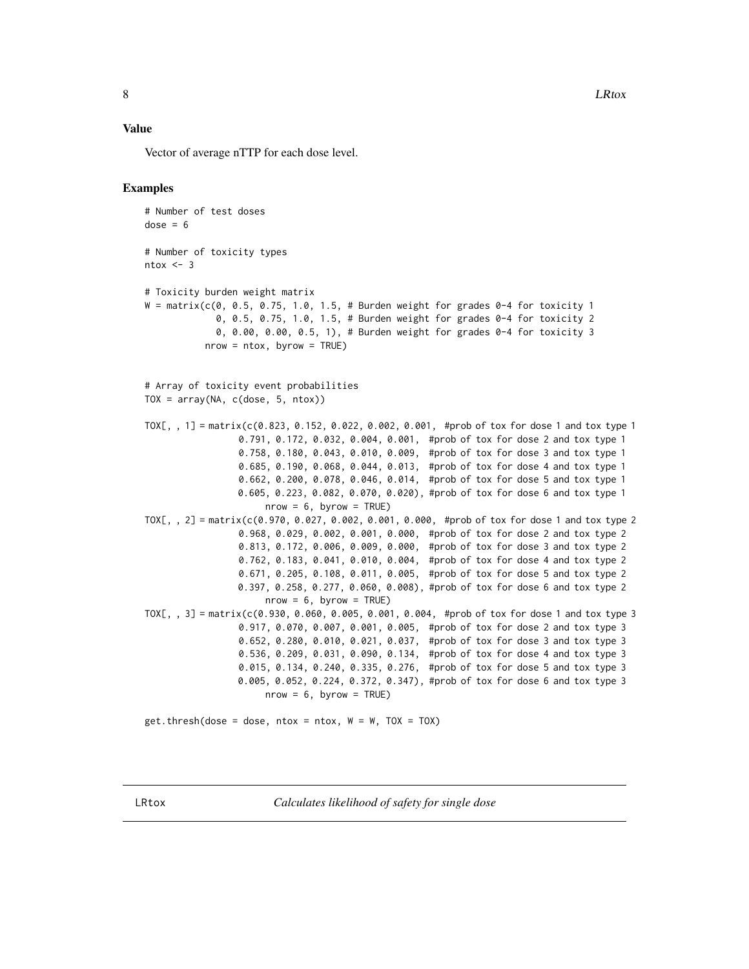<span id="page-7-0"></span>Vector of average nTTP for each dose level.

#### Examples

```
# Number of test doses
dose = 6# Number of toxicity types
ntox < -3# Toxicity burden weight matrix
W = matrix(c(0, 0.5, 0.75, 1.0, 1.5, # Burden weight for grades 0-4 for toxicity 1
             0, 0.5, 0.75, 1.0, 1.5, # Burden weight for grades 0-4 for toxicity 2
             0, 0.00, 0.00, 0.5, 1), # Burden weight for grades 0-4 for toxicity 3
           nrow = ntox, byrow = TRUE)
# Array of toxicity event probabilities
TOX = array(NA, c(dose, 5, ntox))TOX[,, 1] = matrix(c(0.823, 0.152, 0.022, 0.002, 0.001, \#prob of tox for dose 1 and tox type 1
                 0.791, 0.172, 0.032, 0.004, 0.001, #prob of tox for dose 2 and tox type 1
                 0.758, 0.180, 0.043, 0.010, 0.009, #prob of tox for dose 3 and tox type 1
                 0.685, 0.190, 0.068, 0.044, 0.013, #prob of tox for dose 4 and tox type 1
                 0.662, 0.200, 0.078, 0.046, 0.014, #prob of tox for dose 5 and tox type 1
                 0.605, 0.223, 0.082, 0.070, 0.020), #prob of tox for dose 6 and tox type 1
                      nrow = 6, byrow = TRUE)
TOX[, , 2] = matrix(c(0.970, 0.027, 0.002, 0.001, 0.000, #prob of tox for dose 1 and tox type 2
                 0.968, 0.029, 0.002, 0.001, 0.000, #prob of tox for dose 2 and tox type 2
                 0.813, 0.172, 0.006, 0.009, 0.000, #prob of tox for dose 3 and tox type 2
                 0.762, 0.183, 0.041, 0.010, 0.004, #prob of tox for dose 4 and tox type 2
                 0.671, 0.205, 0.108, 0.011, 0.005, #prob of tox for dose 5 and tox type 2
                 0.397, 0.258, 0.277, 0.060, 0.008), #prob of tox for dose 6 and tox type 2
                      nrow = 6, byrow = TRUE)
TOX[, , 3] = matrix(c(0.930, 0.060, 0.005, 0.001, 0.004, #prob of tox for dose 1 and tox type 3
                 0.917, 0.070, 0.007, 0.001, 0.005, #prob of tox for dose 2 and tox type 3
                 0.652, 0.280, 0.010, 0.021, 0.037, #prob of tox for dose 3 and tox type 3
                 0.536, 0.209, 0.031, 0.090, 0.134, #prob of tox for dose 4 and tox type 3
                 0.015, 0.134, 0.240, 0.335, 0.276, #prob of tox for dose 5 and tox type 3
                 0.005, 0.052, 0.224, 0.372, 0.347), #prob of tox for dose 6 and tox type 3
                      nrow = 6, byrow = TRUE)
```
 $get.$  thresh(dose = dose, ntox = ntox,  $W = W$ , TOX = TOX)

LRtox *Calculates likelihood of safety for single dose*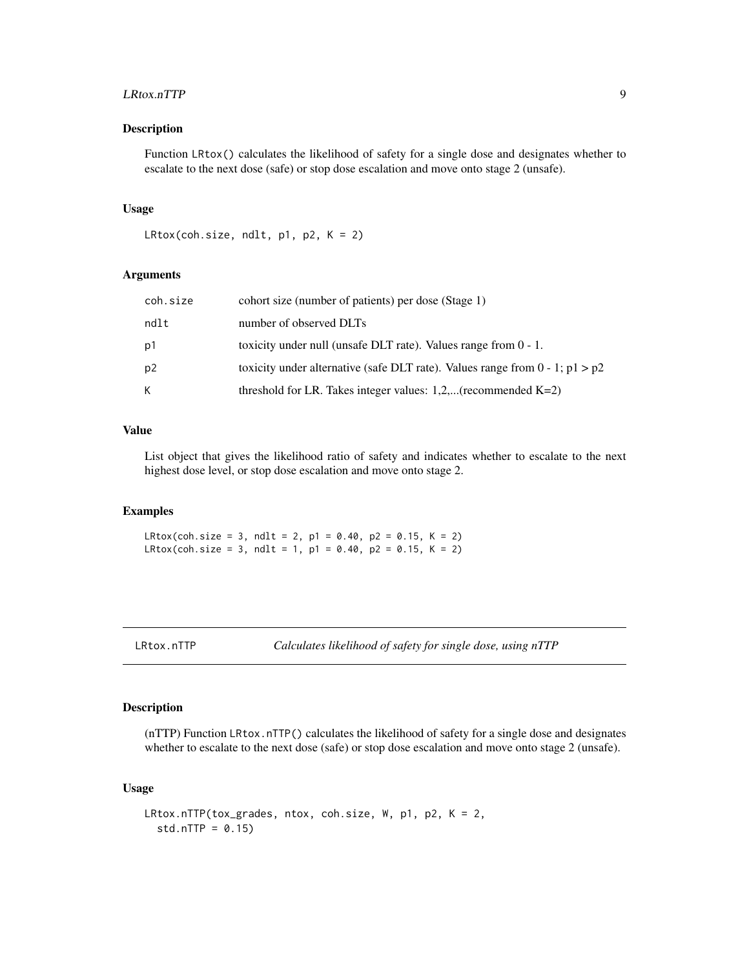#### <span id="page-8-0"></span>LRtox.nTTP 9

# Description

Function LRtox() calculates the likelihood of safety for a single dose and designates whether to escalate to the next dose (safe) or stop dose escalation and move onto stage 2 (unsafe).

#### Usage

```
LRtox(coh.size, ndlt, p1, p2, K = 2)
```
#### Arguments

| coh.size       | cohort size (number of patients) per dose (Stage 1)                               |
|----------------|-----------------------------------------------------------------------------------|
| ndlt           | number of observed DLTs                                                           |
| p1             | toxicity under null (unsafe DLT rate). Values range from $0 - 1$ .                |
| p <sub>2</sub> | toxicity under alternative (safe DLT rate). Values range from $0 - 1$ ; $p1 > p2$ |
| K              | threshold for LR. Takes integer values: $1,2,$ (recommended K=2)                  |

# Value

List object that gives the likelihood ratio of safety and indicates whether to escalate to the next highest dose level, or stop dose escalation and move onto stage 2.

# Examples

 $LRtox$ (coh.size = 3, ndlt = 2, p1 = 0.40, p2 = 0.15, K = 2) LRtox(coh.size = 3, ndlt = 1, p1 = 0.40, p2 = 0.15, K = 2)

```
LRtox.nTTP Calculates likelihood of safety for single dose, using nTTP
```
# Description

(nTTP) Function LRtox.nTTP() calculates the likelihood of safety for a single dose and designates whether to escalate to the next dose (safe) or stop dose escalation and move onto stage 2 (unsafe).

#### Usage

```
LRtox.nTTP(tox_grades, ntox, coh.size, W, p1, p2, K = 2,
  std.nTTP = 0.15)
```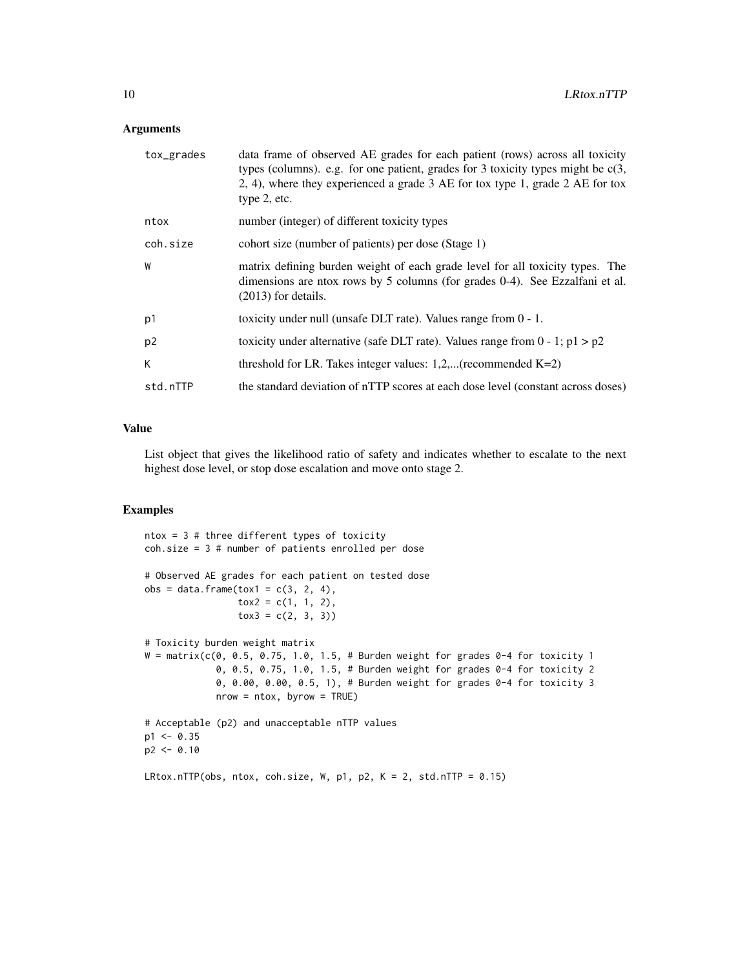#### Arguments

| tox_grades     | data frame of observed AE grades for each patient (rows) across all toxicity<br>types (columns). e.g. for one patient, grades for 3 toxicity types might be $c(3, 1)$<br>2, 4), where they experienced a grade 3 AE for tox type 1, grade 2 AE for tox<br>type 2, etc. |
|----------------|------------------------------------------------------------------------------------------------------------------------------------------------------------------------------------------------------------------------------------------------------------------------|
| ntox           | number (integer) of different toxicity types                                                                                                                                                                                                                           |
| coh.size       | cohort size (number of patients) per dose (Stage 1)                                                                                                                                                                                                                    |
| W              | matrix defining burden weight of each grade level for all toxicity types. The<br>dimensions are ntox rows by 5 columns (for grades 0-4). See Ezzalfani et al.<br>$(2013)$ for details.                                                                                 |
| p1             | toxicity under null (unsafe DLT rate). Values range from $0 - 1$ .                                                                                                                                                                                                     |
| p <sub>2</sub> | toxicity under alternative (safe DLT rate). Values range from $0 - 1$ ; $p1 > p2$                                                                                                                                                                                      |
| K              | threshold for LR. Takes integer values: $1,2,$ (recommended K=2)                                                                                                                                                                                                       |
| std.nTTP       | the standard deviation of nTTP scores at each dose level (constant across doses)                                                                                                                                                                                       |

# Value

List object that gives the likelihood ratio of safety and indicates whether to escalate to the next highest dose level, or stop dose escalation and move onto stage 2.

```
ntox = 3 # three different types of toxicity
coh.size = 3 # number of patients enrolled per dose
# Observed AE grades for each patient on tested dose
obs = data-frame(tox1 = c(3, 2, 4),\text{tox2 = c(1, 1, 2)},
                 \text{tox3} = \text{c}(2, 3, 3)# Toxicity burden weight matrix
W = matrix(c(0, 0.5, 0.75, 1.0, 1.5, # Burden weight for grades 0-4 for toxicity 1)0, 0.5, 0.75, 1.0, 1.5, # Burden weight for grades 0-4 for toxicity 2
             0, 0.00, 0.00, 0.5, 1), # Burden weight for grades 0-4 for toxicity 3
             nrow = ntox, byrow = TRUE)
# Acceptable (p2) and unacceptable nTTP values
p1 < -0.35p2 < -0.10LRtox.nTTP(obs, ntox, coh.size, W, p1, p2, K = 2, std.nTTP = 0.15)
```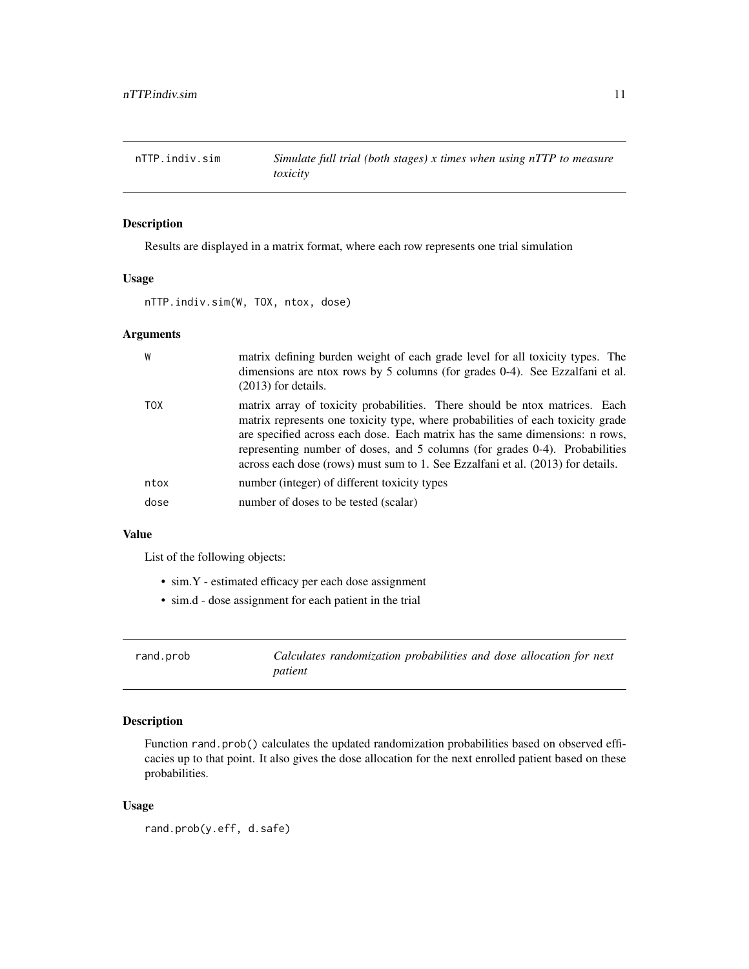<span id="page-10-0"></span>

# Description

Results are displayed in a matrix format, where each row represents one trial simulation

# Usage

nTTP.indiv.sim(W, TOX, ntox, dose)

# Arguments

| W          | matrix defining burden weight of each grade level for all toxicity types. The<br>dimensions are ntox rows by 5 columns (for grades 0-4). See Ezzalfani et al.<br>$(2013)$ for details.                                                                                                                                                                                                                           |
|------------|------------------------------------------------------------------------------------------------------------------------------------------------------------------------------------------------------------------------------------------------------------------------------------------------------------------------------------------------------------------------------------------------------------------|
| <b>TOX</b> | matrix array of toxicity probabilities. There should be ntox matrices. Each<br>matrix represents one toxicity type, where probabilities of each toxicity grade<br>are specified across each dose. Each matrix has the same dimensions: n rows,<br>representing number of doses, and 5 columns (for grades 0-4). Probabilities<br>across each dose (rows) must sum to 1. See Ezzalfani et al. (2013) for details. |
| ntox       | number (integer) of different toxicity types                                                                                                                                                                                                                                                                                                                                                                     |
| dose       | number of doses to be tested (scalar)                                                                                                                                                                                                                                                                                                                                                                            |

### Value

List of the following objects:

- sim.Y estimated efficacy per each dose assignment
- sim.d dose assignment for each patient in the trial

| rand.prob |         | Calculates randomization probabilities and dose allocation for next |  |  |  |
|-----------|---------|---------------------------------------------------------------------|--|--|--|
|           | patient |                                                                     |  |  |  |

# Description

Function rand.prob() calculates the updated randomization probabilities based on observed efficacies up to that point. It also gives the dose allocation for the next enrolled patient based on these probabilities.

#### Usage

rand.prob(y.eff, d.safe)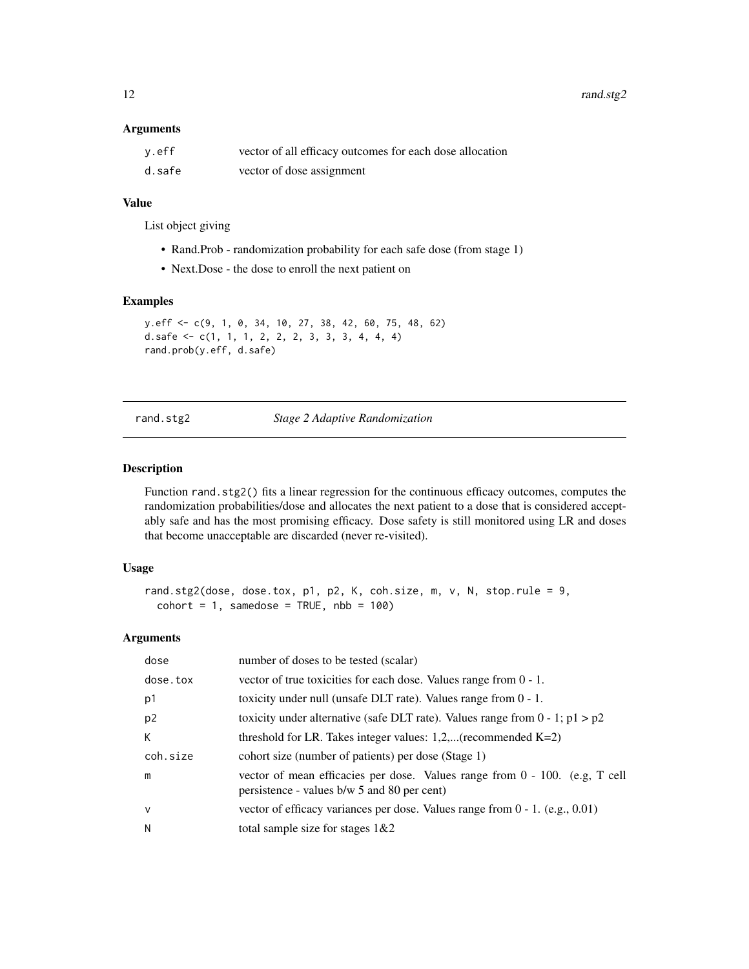<span id="page-11-0"></span>12 rand.stg2

#### Arguments

| y.eff  | vector of all efficacy outcomes for each dose allocation |
|--------|----------------------------------------------------------|
| d.safe | vector of dose assignment                                |

# Value

List object giving

- Rand.Prob randomization probability for each safe dose (from stage 1)
- Next.Dose the dose to enroll the next patient on

## Examples

```
y.eff <- c(9, 1, 0, 34, 10, 27, 38, 42, 60, 75, 48, 62)
d.safe <- c(1, 1, 1, 2, 2, 2, 3, 3, 3, 4, 4, 4)
rand.prob(y.eff, d.safe)
```
#### rand.stg2 *Stage 2 Adaptive Randomization*

#### Description

Function rand. stg2() fits a linear regression for the continuous efficacy outcomes, computes the randomization probabilities/dose and allocates the next patient to a dose that is considered acceptably safe and has the most promising efficacy. Dose safety is still monitored using LR and doses that become unacceptable are discarded (never re-visited).

#### Usage

```
rand.stg2(dose, dose.tox, p1, p2, K, coh.size, m, v, N, stop.rule = 9,
  \text{cohort} = 1, samedose = TRUE, \text{nbb} = 100)
```

| dose           | number of doses to be tested (scalar)                                                                                      |
|----------------|----------------------------------------------------------------------------------------------------------------------------|
| dose.tox       | vector of true toxicities for each dose. Values range from $0 - 1$ .                                                       |
| p1             | toxicity under null (unsafe DLT rate). Values range from $0 - 1$ .                                                         |
| p <sub>2</sub> | toxicity under alternative (safe DLT rate). Values range from $0 - 1$ ; $p1 > p2$                                          |
| К              | threshold for LR. Takes integer values: $1,2,$ (recommended K=2)                                                           |
| coh.size       | cohort size (number of patients) per dose (Stage 1)                                                                        |
| m              | vector of mean efficacies per dose. Values range from 0 - 100. (e.g. T cell<br>persistence - values b/w 5 and 80 per cent) |
| $\vee$         | vector of efficacy variances per dose. Values range from $0 - 1$ . (e.g., 0.01)                                            |
| N              | total sample size for stages $1&2$                                                                                         |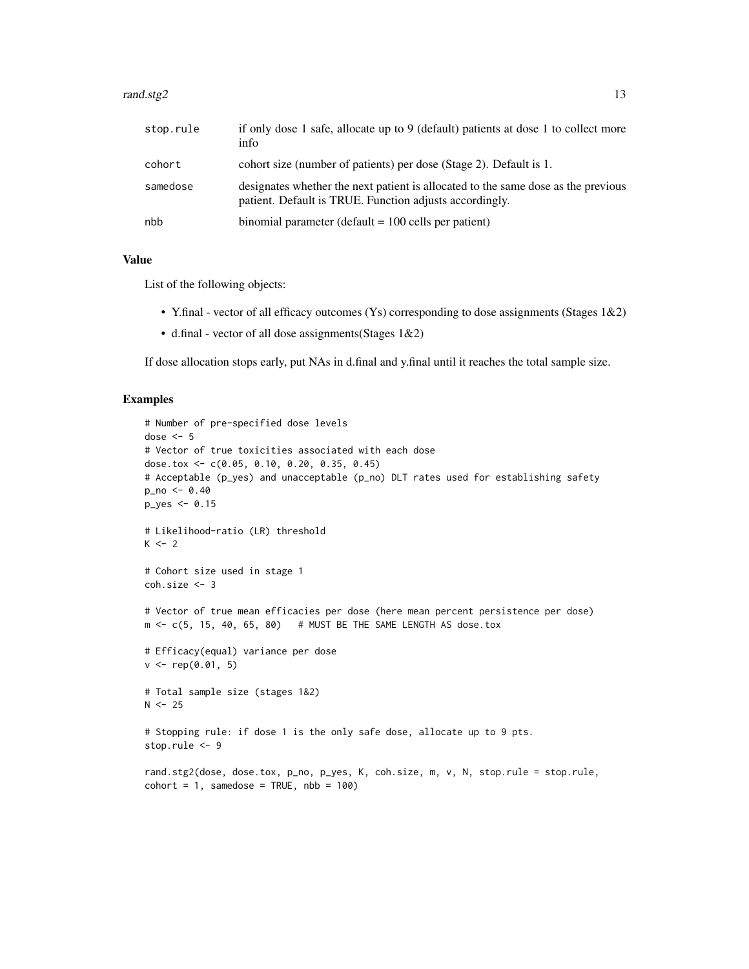#### $rand.size2$  13

| stop.rule | if only dose 1 safe, allocate up to 9 (default) patients at dose 1 to collect more<br>info                                                   |
|-----------|----------------------------------------------------------------------------------------------------------------------------------------------|
| cohort    | cohort size (number of patients) per dose (Stage 2). Default is 1.                                                                           |
| samedose  | designates whether the next patient is allocated to the same dose as the previous<br>patient. Default is TRUE. Function adjusts accordingly. |
| nbb       | binomial parameter (default $= 100$ cells per patient)                                                                                       |

#### Value

List of the following objects:

- Y.final vector of all efficacy outcomes (Ys) corresponding to dose assignments (Stages 1&2)
- d.final vector of all dose assignments(Stages 1&2)

If dose allocation stops early, put NAs in d.final and y.final until it reaches the total sample size.

```
# Number of pre-specified dose levels
dose <-5# Vector of true toxicities associated with each dose
dose.tox <- c(0.05, 0.10, 0.20, 0.35, 0.45)
# Acceptable (p_yes) and unacceptable (p_no) DLT rates used for establishing safety
p_no <- 0.40
p_yes <- 0.15
# Likelihood-ratio (LR) threshold
K < - 2# Cohort size used in stage 1
coh.size <- 3
# Vector of true mean efficacies per dose (here mean percent persistence per dose)
m < -c(5, 15, 40, 65, 80) # MUST BE THE SAME LENGTH AS dose.tox
# Efficacy(equal) variance per dose
v \leq -rep(0.01, 5)# Total sample size (stages 1&2)
N < -25# Stopping rule: if dose 1 is the only safe dose, allocate up to 9 pts.
stop.rule <- 9
rand.stg2(dose, dose.tox, p_no, p_yes, K, coh.size, m, v, N, stop.rule = stop.rule,
\text{cohort} = 1, samedose = TRUE, \text{nbb} = 100)
```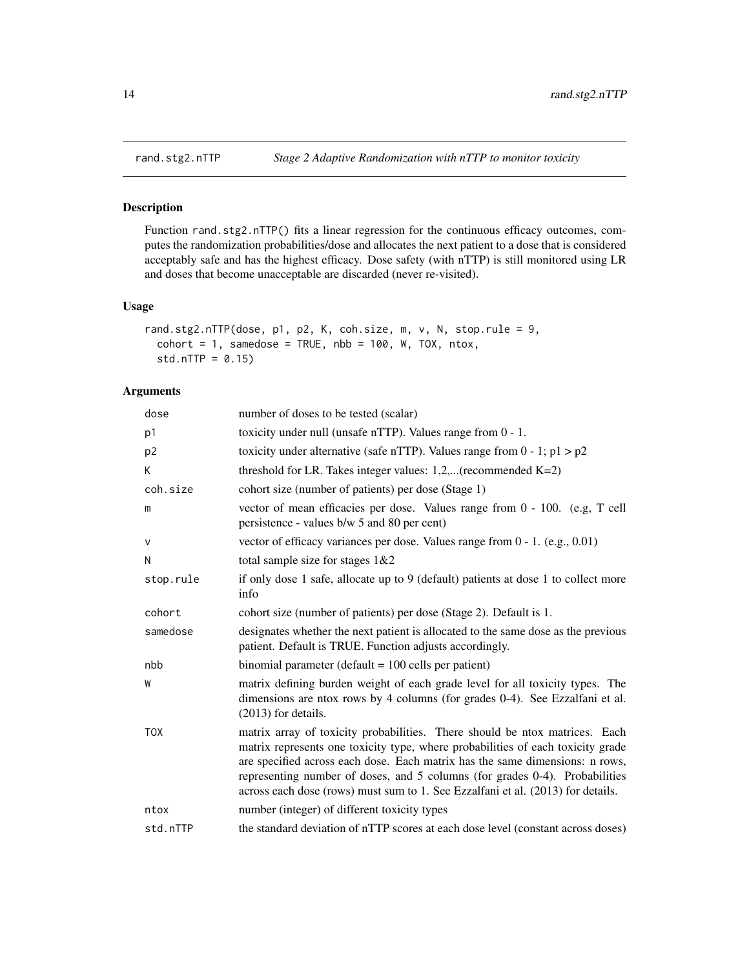<span id="page-13-0"></span>

# Description

Function rand.stg2.nTTP() fits a linear regression for the continuous efficacy outcomes, computes the randomization probabilities/dose and allocates the next patient to a dose that is considered acceptably safe and has the highest efficacy. Dose safety (with nTTP) is still monitored using LR and doses that become unacceptable are discarded (never re-visited).

#### Usage

```
rand.stg2.nTTP(dose, p1, p2, K, coh.size, m, v, N, stop.rule = 9,
  \text{cohort} = 1, samedose = TRUE, nbb = 100, W, TOX, ntox,
  std.nTTP = 0.15
```

| dose           | number of doses to be tested (scalar)                                                                                                                                                                                                                                                                                                                                                                            |
|----------------|------------------------------------------------------------------------------------------------------------------------------------------------------------------------------------------------------------------------------------------------------------------------------------------------------------------------------------------------------------------------------------------------------------------|
| p1             | toxicity under null (unsafe nTTP). Values range from 0 - 1.                                                                                                                                                                                                                                                                                                                                                      |
| p <sub>2</sub> | toxicity under alternative (safe nTTP). Values range from $0 - 1$ ; $p1 > p2$                                                                                                                                                                                                                                                                                                                                    |
| K              | threshold for LR. Takes integer values: $1,2,$ (recommended K=2)                                                                                                                                                                                                                                                                                                                                                 |
| coh.size       | cohort size (number of patients) per dose (Stage 1)                                                                                                                                                                                                                                                                                                                                                              |
| m              | vector of mean efficacies per dose. Values range from 0 - 100. (e.g, T cell<br>persistence - values b/w 5 and 80 per cent)                                                                                                                                                                                                                                                                                       |
| v              | vector of efficacy variances per dose. Values range from $0 - 1$ . (e.g., 0.01)                                                                                                                                                                                                                                                                                                                                  |
| N              | total sample size for stages $1&&2$                                                                                                                                                                                                                                                                                                                                                                              |
| stop.rule      | if only dose 1 safe, allocate up to 9 (default) patients at dose 1 to collect more<br>info                                                                                                                                                                                                                                                                                                                       |
| cohort         | cohort size (number of patients) per dose (Stage 2). Default is 1.                                                                                                                                                                                                                                                                                                                                               |
| samedose       | designates whether the next patient is allocated to the same dose as the previous<br>patient. Default is TRUE. Function adjusts accordingly.                                                                                                                                                                                                                                                                     |
| nbb            | binomial parameter (default $= 100$ cells per patient)                                                                                                                                                                                                                                                                                                                                                           |
| W              | matrix defining burden weight of each grade level for all toxicity types. The<br>dimensions are ntox rows by 4 columns (for grades 0-4). See Ezzalfani et al.<br>$(2013)$ for details.                                                                                                                                                                                                                           |
| <b>TOX</b>     | matrix array of toxicity probabilities. There should be ntox matrices. Each<br>matrix represents one toxicity type, where probabilities of each toxicity grade<br>are specified across each dose. Each matrix has the same dimensions: n rows,<br>representing number of doses, and 5 columns (for grades 0-4). Probabilities<br>across each dose (rows) must sum to 1. See Ezzalfani et al. (2013) for details. |
| ntox           | number (integer) of different toxicity types                                                                                                                                                                                                                                                                                                                                                                     |
| std.nTTP       | the standard deviation of nTTP scores at each dose level (constant across doses)                                                                                                                                                                                                                                                                                                                                 |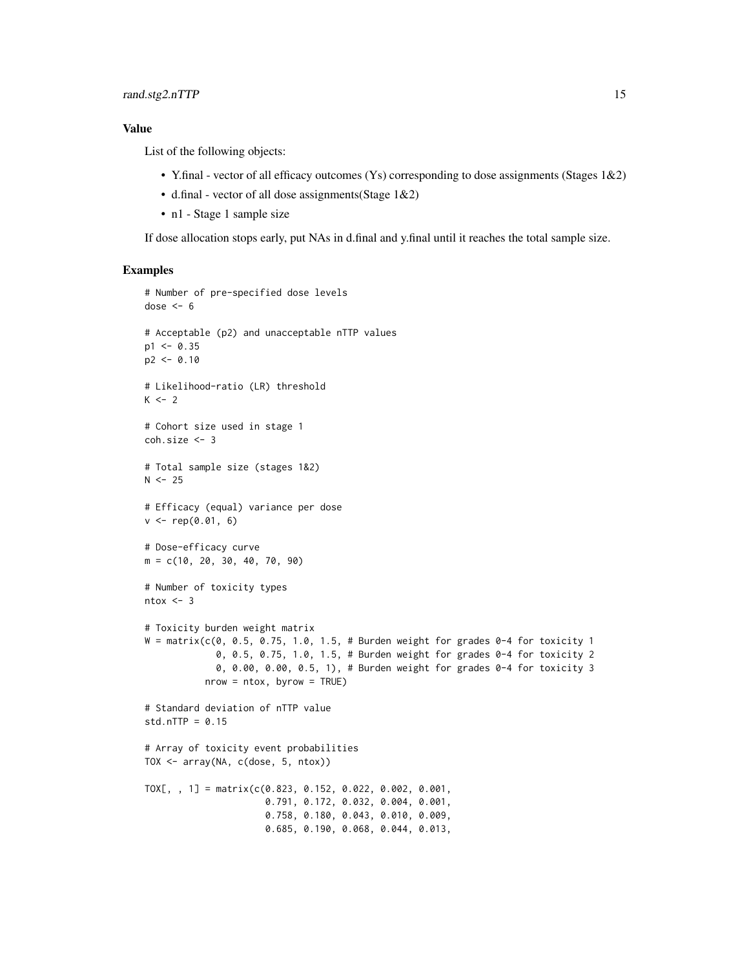#### Value

List of the following objects:

- Y.final vector of all efficacy outcomes (Ys) corresponding to dose assignments (Stages 1&2)
- d.final vector of all dose assignments(Stage 1&2)
- n1 Stage 1 sample size

If dose allocation stops early, put NAs in d.final and y.final until it reaches the total sample size.

```
# Number of pre-specified dose levels
dose <-6# Acceptable (p2) and unacceptable nTTP values
p1 < -0.35p2 < -0.10# Likelihood-ratio (LR) threshold
K < -2# Cohort size used in stage 1
coh.size <- 3
# Total sample size (stages 1&2)
N < -25# Efficacy (equal) variance per dose
v \leq rep(0.01, 6)# Dose-efficacy curve
m = c(10, 20, 30, 40, 70, 90)
# Number of toxicity types
ntox < -3# Toxicity burden weight matrix
W = matrix(c(0, 0.5, 0.75, 1.0, 1.5, # Burden weight for grades 0-4 for toxicity 1)0, 0.5, 0.75, 1.0, 1.5, # Burden weight for grades 0-4 for toxicity 2
             0, 0.00, 0.00, 0.5, 1), # Burden weight for grades 0-4 for toxicity 3
           nrow = ntox, byrow = TRUE)
# Standard deviation of nTTP value
std.nTTP = 0.15# Array of toxicity event probabilities
TOX <- array(NA, c(dose, 5, ntox))
TOX[, , 1] = matrix(c(0.823, 0.152, 0.022, 0.002, 0.001,
                      0.791, 0.172, 0.032, 0.004, 0.001,
                      0.758, 0.180, 0.043, 0.010, 0.009,
                      0.685, 0.190, 0.068, 0.044, 0.013,
```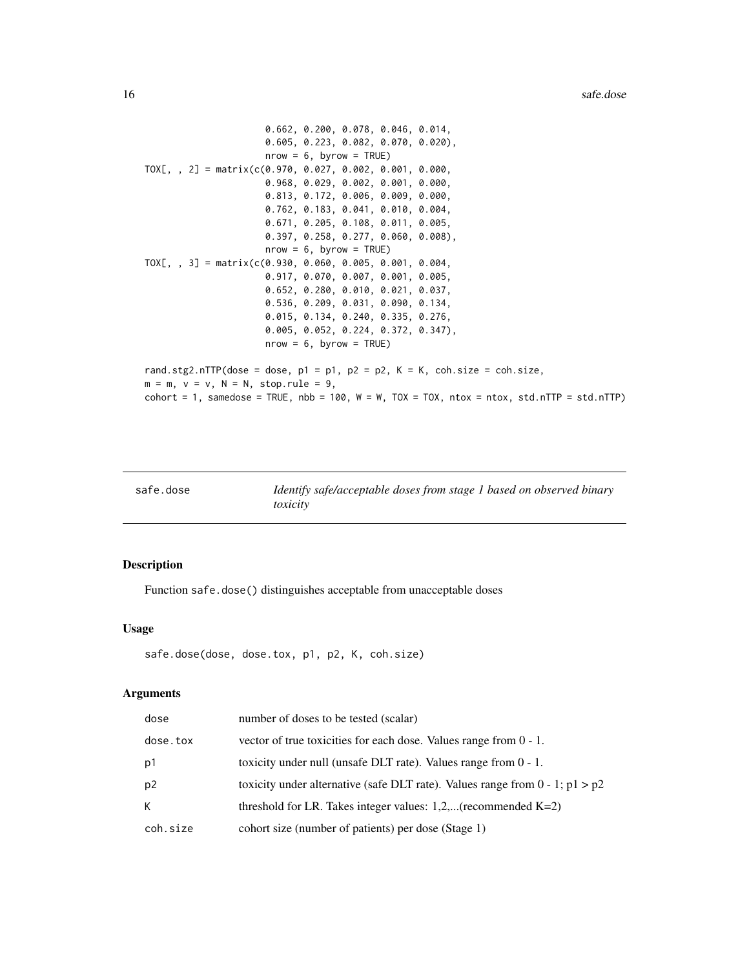```
0.662, 0.200, 0.078, 0.046, 0.014,
                       0.605, 0.223, 0.082, 0.070, 0.020),
                       nrow = 6, byrow = TRUE)
TOX[, , 2] = matrix(c(0.970, 0.027, 0.002, 0.001, 0.000,
                       0.968, 0.029, 0.002, 0.001, 0.000,
                       0.813, 0.172, 0.006, 0.009, 0.000,
                       0.762, 0.183, 0.041, 0.010, 0.004,
                       0.671, 0.205, 0.108, 0.011, 0.005,
                       0.397, 0.258, 0.277, 0.060, 0.008),
                       nrow = 6, byrow = TRUE)
TOX[, , 3] = matrix(c(0.930, 0.060, 0.005, 0.001, 0.004,
                       0.917, 0.070, 0.007, 0.001, 0.005,
                       0.652, 0.280, 0.010, 0.021, 0.037,
                       0.536, 0.209, 0.031, 0.090, 0.134,
                       0.015, 0.134, 0.240, 0.335, 0.276,
                       0.005, 0.052, 0.224, 0.372, 0.347),
                       nrow = 6, byrow = TRUE)
rand.stg2.nTTP(dose = dose, p1 = p1, p2 = p2, K = K, coh.size = coh.size,
m = m, v = v, N = N, stop.rule = 9,
\text{cohort} = 1, samedose = TRUE, \text{nbb} = 100, W = W, TOX = TOX, \text{ntox} = \text{ntox}, \text{std.nTTP} = \text{std.nTTP}
```

| safe.dose | Identify safe/acceptable doses from stage 1 based on observed binary |
|-----------|----------------------------------------------------------------------|
|           | toxicity                                                             |

# Description

Function safe.dose() distinguishes acceptable from unacceptable doses

#### Usage

```
safe.dose(dose, dose.tox, p1, p2, K, coh.size)
```

| dose           | number of doses to be tested (scalar)                                             |
|----------------|-----------------------------------------------------------------------------------|
| dose.tox       | vector of true toxicities for each dose. Values range from $0 - 1$ .              |
| p1             | toxicity under null (unsafe DLT rate). Values range from $0 - 1$ .                |
| p <sub>2</sub> | toxicity under alternative (safe DLT rate). Values range from $0 - 1$ ; $p1 > p2$ |
| K              | threshold for LR. Takes integer values: $1,2,$ (recommended K=2)                  |
| coh.size       | cohort size (number of patients) per dose (Stage 1)                               |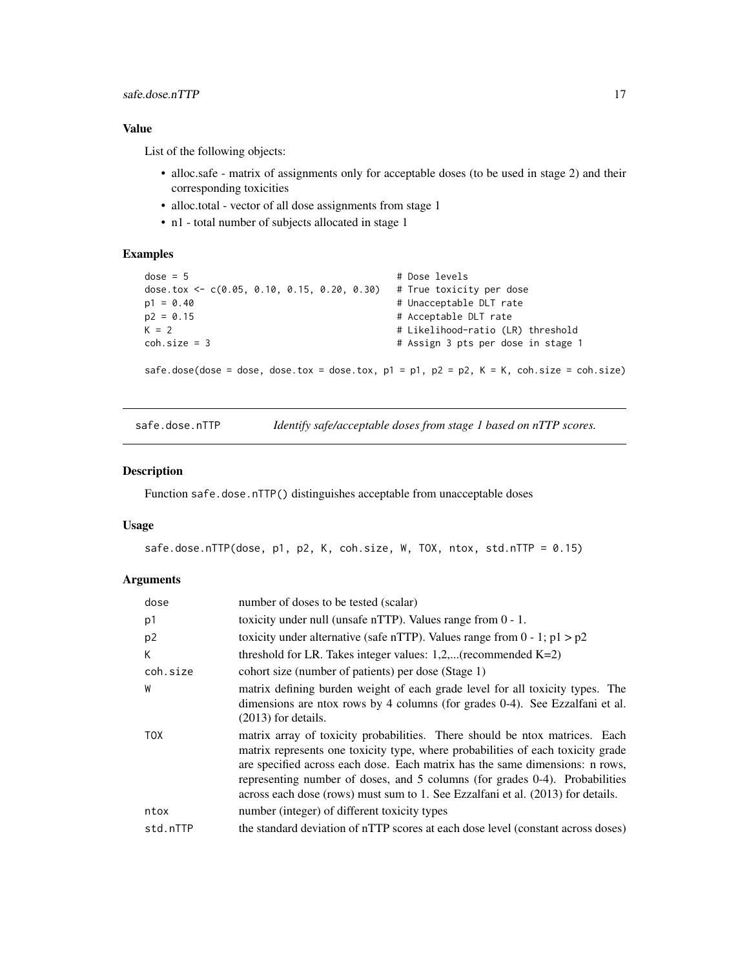### <span id="page-16-0"></span>Value

List of the following objects:

- alloc.safe matrix of assignments only for acceptable doses (to be used in stage 2) and their corresponding toxicities
- alloc.total vector of all dose assignments from stage 1
- n1 total number of subjects allocated in stage 1

#### Examples

```
dose = 5 # Dose levels
dose.tox <- c(0.05, 0.10, 0.15, 0.20, 0.30) # True toxicity per dose
p1 = 0.40 # Unacceptable DLT rate
p2 = 0.15 # Acceptable DLT rate
K = 2 <br>
K = 2 <br>
# Likelihood-ratio (LR) threshold
coh.size = 3 # Assign 3 pts per dose in stage 1
safe.dose(dose = dose, dose.tox = dose.tox, p1 = p1, p2 = p2, K = K, coh.size = coh.size)
```
safe.dose.nTTP *Identify safe/acceptable doses from stage 1 based on nTTP scores.*

## Description

Function safe.dose.nTTP() distinguishes acceptable from unacceptable doses

#### Usage

```
safe.dose.nTTP(dose, p1, p2, K, coh.size, W, TOX, ntox, std.nTTP = 0.15)
```

| dose           | number of doses to be tested (scalar)                                                                                                                                                                                                                                                                                                                                                                            |
|----------------|------------------------------------------------------------------------------------------------------------------------------------------------------------------------------------------------------------------------------------------------------------------------------------------------------------------------------------------------------------------------------------------------------------------|
| p1             | toxicity under null (unsafe nTTP). Values range from $0 - 1$ .                                                                                                                                                                                                                                                                                                                                                   |
| p <sub>2</sub> | toxicity under alternative (safe nTTP). Values range from $0 - 1$ ; $p1 > p2$                                                                                                                                                                                                                                                                                                                                    |
| К              | threshold for LR. Takes integer values: $1,2,$ (recommended K=2)                                                                                                                                                                                                                                                                                                                                                 |
| coh.size       | cohort size (number of patients) per dose (Stage 1)                                                                                                                                                                                                                                                                                                                                                              |
| W              | matrix defining burden weight of each grade level for all toxicity types. The<br>dimensions are ntox rows by 4 columns (for grades 0-4). See Ezzalfani et al.<br>$(2013)$ for details.                                                                                                                                                                                                                           |
| TOX            | matrix array of toxicity probabilities. There should be ntox matrices. Each<br>matrix represents one toxicity type, where probabilities of each toxicity grade<br>are specified across each dose. Each matrix has the same dimensions: n rows,<br>representing number of doses, and 5 columns (for grades 0-4). Probabilities<br>across each dose (rows) must sum to 1. See Ezzalfani et al. (2013) for details. |
| ntox           | number (integer) of different toxicity types                                                                                                                                                                                                                                                                                                                                                                     |
| std.nTTP       | the standard deviation of nTTP scores at each dose level (constant across doses)                                                                                                                                                                                                                                                                                                                                 |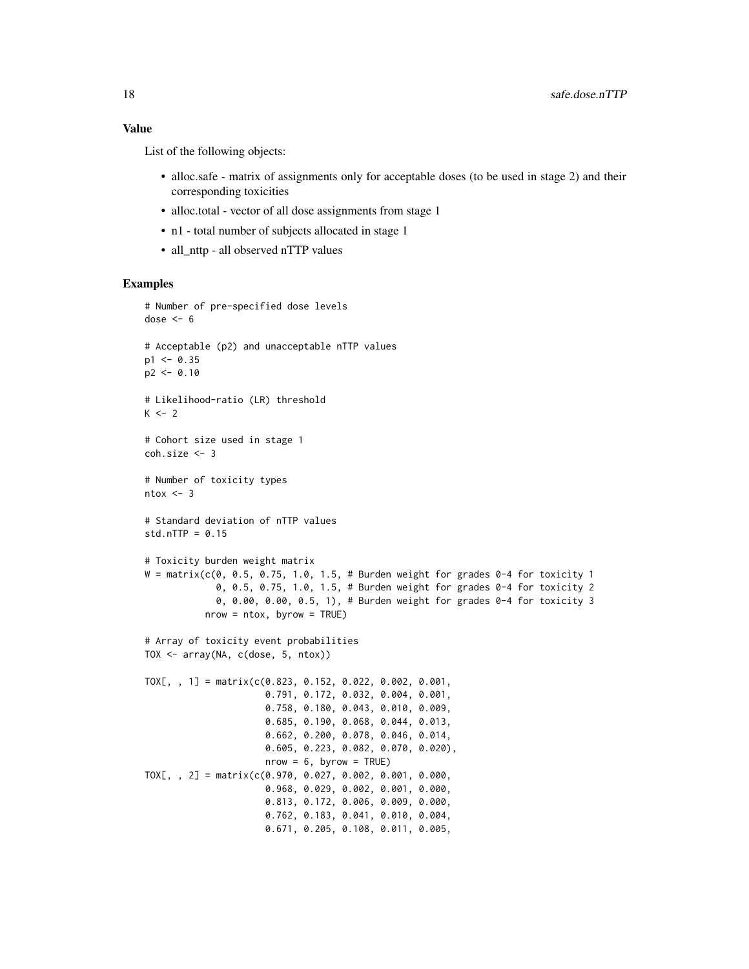List of the following objects:

- alloc.safe matrix of assignments only for acceptable doses (to be used in stage 2) and their corresponding toxicities
- alloc.total vector of all dose assignments from stage 1
- n1 total number of subjects allocated in stage 1
- all nttp all observed nTTP values

```
# Number of pre-specified dose levels
dose <-6# Acceptable (p2) and unacceptable nTTP values
p1 < -0.35p2 < -0.10# Likelihood-ratio (LR) threshold
K < -2# Cohort size used in stage 1
coh.size <- 3
# Number of toxicity types
ntox < -3# Standard deviation of nTTP values
std.nTTP = 0.15# Toxicity burden weight matrix
W = matrix(c(0, 0.5, 0.75, 1.0, 1.5, # Burden weight for grades 0-4 for toxicity 1)0, 0.5, 0.75, 1.0, 1.5, # Burden weight for grades 0-4 for toxicity 2
             0, 0.00, 0.00, 0.5, 1), # Burden weight for grades 0-4 for toxicity 3
           nrow = ntox, byrow = TRUE)
# Array of toxicity event probabilities
TOX <- array(NA, c(dose, 5, ntox))
TOX[, , 1] = matrix(c(0.823, 0.152, 0.022, 0.002, 0.001,
                      0.791, 0.172, 0.032, 0.004, 0.001,
                      0.758, 0.180, 0.043, 0.010, 0.009,
                      0.685, 0.190, 0.068, 0.044, 0.013,
                      0.662, 0.200, 0.078, 0.046, 0.014,
                      0.605, 0.223, 0.082, 0.070, 0.020),
                      nrow = 6, byrow = TRUE)
TOX[, , 2] = matrix(c(0.970, 0.027, 0.002, 0.001, 0.000,
                      0.968, 0.029, 0.002, 0.001, 0.000,
                      0.813, 0.172, 0.006, 0.009, 0.000,
                      0.762, 0.183, 0.041, 0.010, 0.004,
                      0.671, 0.205, 0.108, 0.011, 0.005,
```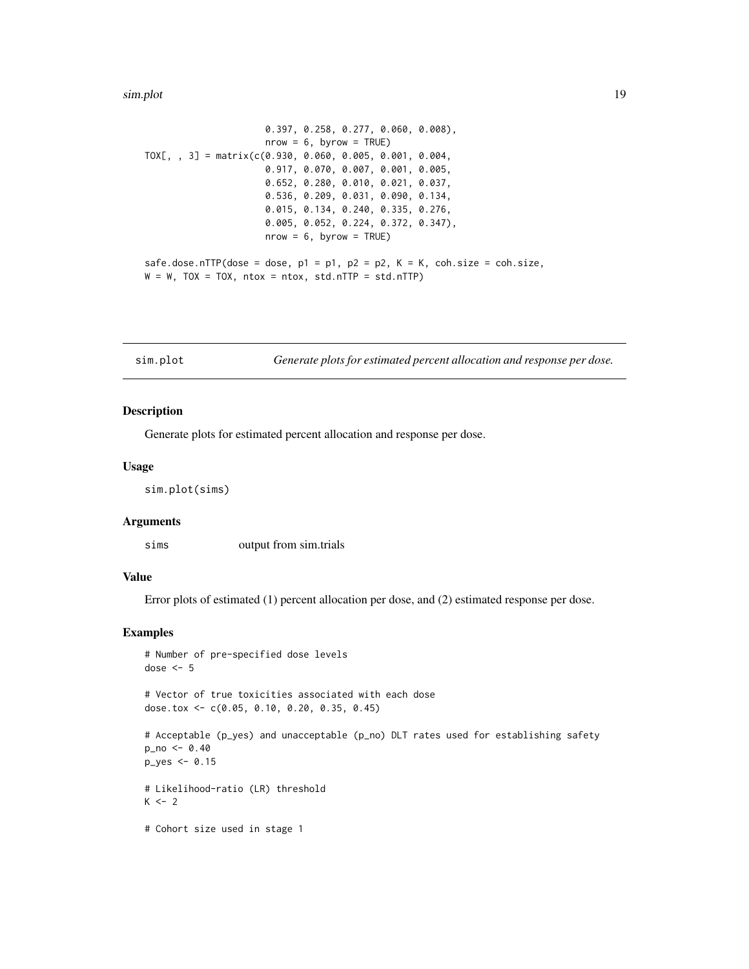#### <span id="page-18-0"></span>sim.plot the state of the state of the state of the state of the state of the state of the state of the state of the state of the state of the state of the state of the state of the state of the state of the state of the s

```
0.397, 0.258, 0.277, 0.060, 0.008),
                      nrow = 6, byrow = TRUE)
TOX[, , 3] = matrix(c(0.930, 0.060, 0.005, 0.001, 0.004,
                      0.917, 0.070, 0.007, 0.001, 0.005,
                      0.652, 0.280, 0.010, 0.021, 0.037,
                      0.536, 0.209, 0.031, 0.090, 0.134,
                      0.015, 0.134, 0.240, 0.335, 0.276,
                      0.005, 0.052, 0.224, 0.372, 0.347),
                      nrow = 6, byrow = TRUE)
safe.dose.nTTP(dose = dose, p1 = p1, p2 = p2, K = K, coh.size = coh.size,
W = W, TOX = TOX, ntox = ntox, std.nTTP = std.nTTP)
```
sim.plot *Generate plots for estimated percent allocation and response per dose.*

#### Description

Generate plots for estimated percent allocation and response per dose.

#### Usage

sim.plot(sims)

#### Arguments

sims output from sim.trials

#### Value

Error plots of estimated (1) percent allocation per dose, and (2) estimated response per dose.

#### Examples

```
# Number of pre-specified dose levels
dose <-5
```
# Vector of true toxicities associated with each dose dose.tox <- c(0.05, 0.10, 0.20, 0.35, 0.45)

```
# Acceptable (p_yes) and unacceptable (p_no) DLT rates used for establishing safety
p_{no} < -0.40p_yes <- 0.15
# Likelihood-ratio (LR) threshold
K < - 2
```
# Cohort size used in stage 1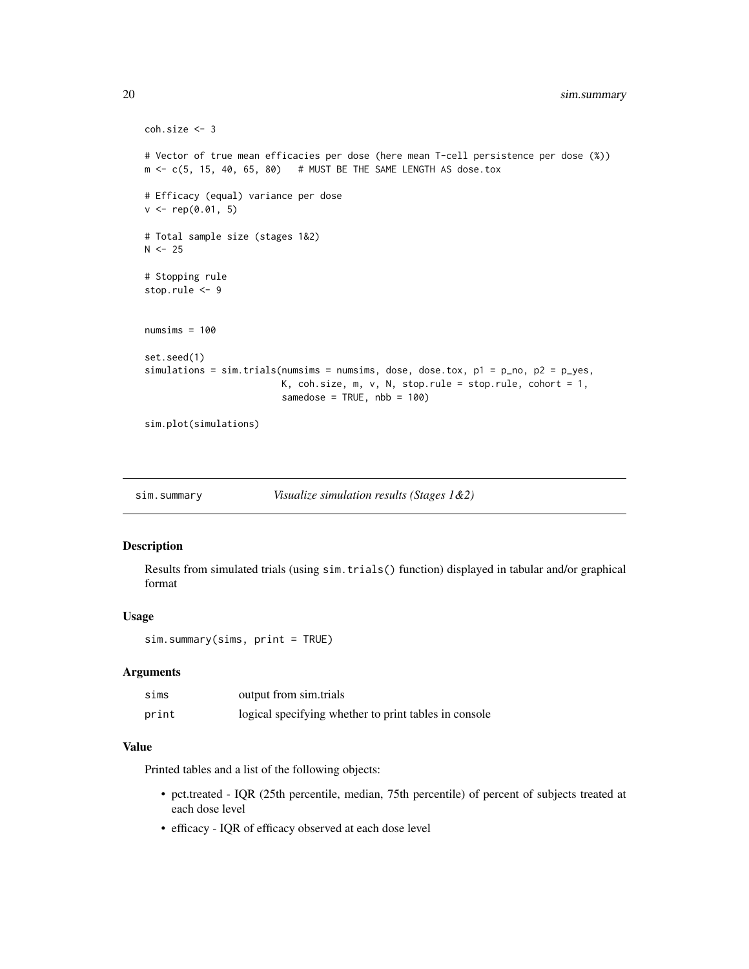```
coh.size <- 3
# Vector of true mean efficacies per dose (here mean T-cell persistence per dose (%))
m \leq -c(5, 15, 40, 65, 80) # MUST BE THE SAME LENGTH AS dose.tox
# Efficacy (equal) variance per dose
v \leq -rep(0.01, 5)# Total sample size (stages 1&2)
N < - 25# Stopping rule
stop.rule <- 9
numsims = 100set.seed(1)
simulations = sim.trials(numsims = numsims, dose, dose.tox, p1 = p_no, p2 = p_yes,
                         K, coh.size, m, v, N, stop.rule = stop.rule, cohort = 1,
                         samedose = TRUE, nbb = 100)
```

```
sim.plot(simulations)
```

| sim.summary | Visualize simulation results (Stages $1&2)$ |  |
|-------------|---------------------------------------------|--|
|-------------|---------------------------------------------|--|

# Description

Results from simulated trials (using sim.trials() function) displayed in tabular and/or graphical format

#### Usage

```
sim.summary(sims, print = TRUE)
```
## Arguments

| sims  | output from sim.trials                                |
|-------|-------------------------------------------------------|
| print | logical specifying whether to print tables in console |

# Value

Printed tables and a list of the following objects:

- pct.treated IQR (25th percentile, median, 75th percentile) of percent of subjects treated at each dose level
- efficacy IQR of efficacy observed at each dose level

<span id="page-19-0"></span>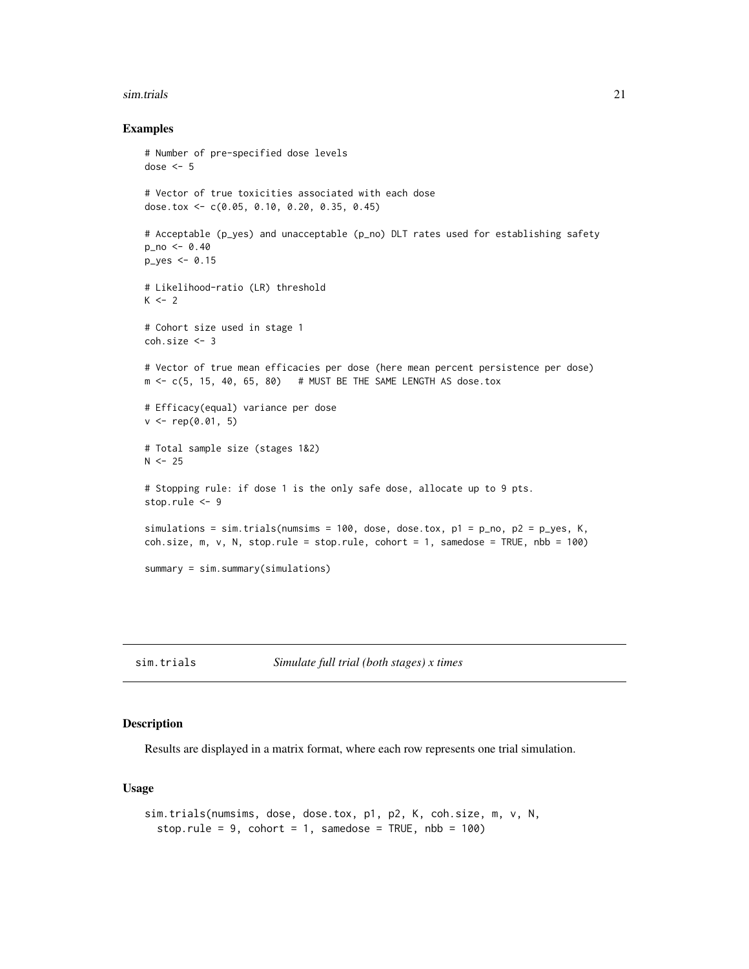#### <span id="page-20-0"></span>sim.trials 21

#### Examples

```
# Number of pre-specified dose levels
dose <-5# Vector of true toxicities associated with each dose
dose.tox <- c(0.05, 0.10, 0.20, 0.35, 0.45)
# Acceptable (p_yes) and unacceptable (p_no) DLT rates used for establishing safety
p_no <- 0.40
p_yes <- 0.15
# Likelihood-ratio (LR) threshold
K < -2# Cohort size used in stage 1
coh.size <- 3
# Vector of true mean efficacies per dose (here mean percent persistence per dose)
m \leq c(5, 15, 40, 65, 80) # MUST BE THE SAME LENGTH AS dose.tox
# Efficacy(equal) variance per dose
v \leq rep(0.01, 5)# Total sample size (stages 1&2)
N < -25# Stopping rule: if dose 1 is the only safe dose, allocate up to 9 pts.
stop.rule <- 9
simulations = sim.trials(numsims = 100, dose, dose.tox, p1 = p_{no}, p2 = p_{y}es, K,
coh.size, m, v, N, stop.rule = stop.rule, cohort = 1, samedose = TRUE, nbb = 100)
summary = sim.summary(simulations)
```
sim.trials *Simulate full trial (both stages) x times*

#### Description

Results are displayed in a matrix format, where each row represents one trial simulation.

#### Usage

```
sim.trials(numsims, dose, dose.tox, p1, p2, K, coh.size, m, v, N,
 stop.rule = 9, cohort = 1, samedose = TRUE, nbb = 100)
```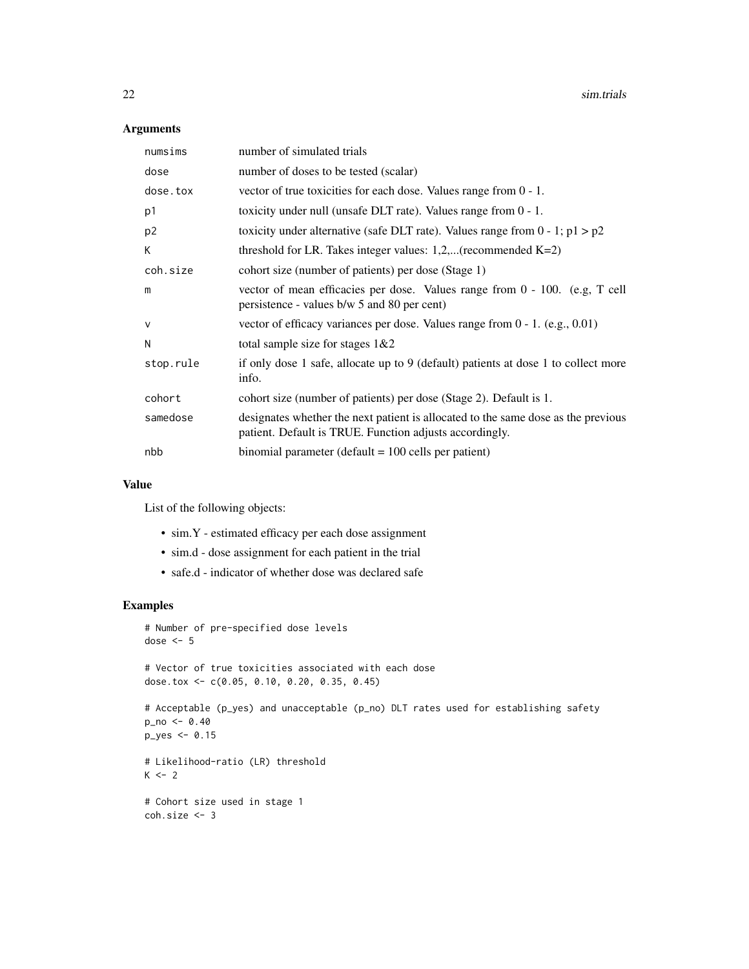# Arguments

| numsims        | number of simulated trials                                                                                                                   |
|----------------|----------------------------------------------------------------------------------------------------------------------------------------------|
| dose           | number of doses to be tested (scalar)                                                                                                        |
| dose.tox       | vector of true toxicities for each dose. Values range from $0 - 1$ .                                                                         |
| p1             | toxicity under null (unsafe DLT rate). Values range from $0 - 1$ .                                                                           |
| p <sub>2</sub> | toxicity under alternative (safe DLT rate). Values range from $0 - 1$ ; $p1 > p2$                                                            |
| K              | threshold for LR. Takes integer values: $1,2,$ (recommended K=2)                                                                             |
| coh.size       | cohort size (number of patients) per dose (Stage 1)                                                                                          |
| m              | vector of mean efficacies per dose. Values range from $0 - 100$ . (e.g., T cell<br>persistence - values b/w 5 and 80 per cent)               |
| $\vee$         | vector of efficacy variances per dose. Values range from $0 - 1$ . (e.g., 0.01)                                                              |
| N              | total sample size for stages $1&&2$                                                                                                          |
| stop.rule      | if only dose 1 safe, allocate up to 9 (default) patients at dose 1 to collect more<br>info.                                                  |
| cohort         | cohort size (number of patients) per dose (Stage 2). Default is 1.                                                                           |
| samedose       | designates whether the next patient is allocated to the same dose as the previous<br>patient. Default is TRUE. Function adjusts accordingly. |
| nbb            | binomial parameter (default $= 100$ cells per patient)                                                                                       |

#### Value

List of the following objects:

- sim.Y estimated efficacy per each dose assignment
- sim.d dose assignment for each patient in the trial
- safe.d indicator of whether dose was declared safe

```
# Number of pre-specified dose levels
dose <- 5
# Vector of true toxicities associated with each dose
dose.tox <- c(0.05, 0.10, 0.20, 0.35, 0.45)
# Acceptable (p_yes) and unacceptable (p_no) DLT rates used for establishing safety
p_no <- 0.40
p_yes <- 0.15
# Likelihood-ratio (LR) threshold
K < -2# Cohort size used in stage 1
coh.size <- 3
```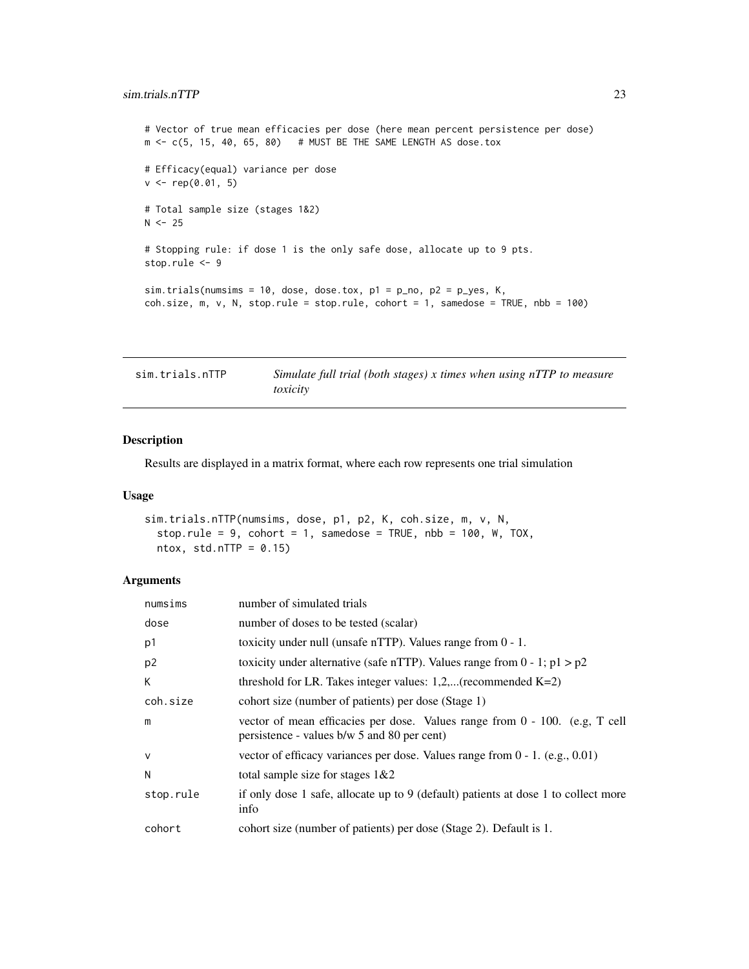#### <span id="page-22-0"></span>sim.trials.nTTP 23

# Vector of true mean efficacies per dose (here mean percent persistence per dose)  $m \leq -c(5, 15, 40, 65, 80)$  # MUST BE THE SAME LENGTH AS dose.tox # Efficacy(equal) variance per dose  $v \leq rep(0.01, 5)$ # Total sample size (stages 1&2)  $N < -25$ # Stopping rule: if dose 1 is the only safe dose, allocate up to 9 pts. stop.rule <- 9  $sim.$  trials(numsims = 10, dose, dose.tox,  $p1 = p_{no}$ ,  $p2 = p_{yes}$ , K,  $coh.size, m, v, N, stop. rule = stop. rule, cohort = 1, same dose = TRUE, nb = 100)$ 

| sim.trials.nTTP | Simulate full trial (both stages) x times when using nTTP to measure |
|-----------------|----------------------------------------------------------------------|
|                 | toxicity                                                             |

#### Description

Results are displayed in a matrix format, where each row represents one trial simulation

#### Usage

```
sim.trials.nTTP(numsims, dose, p1, p2, K, coh.size, m, v, N,
  stop.rule = 9, cohort = 1, samedose = TRUE, nbb = 100, W, TOX,
 ntox, std.nTTP = 0.15
```

| numsims        | number of simulated trials                                                                                                  |
|----------------|-----------------------------------------------------------------------------------------------------------------------------|
| dose           | number of doses to be tested (scalar)                                                                                       |
| p1             | toxicity under null (unsafe nTTP). Values range from $0 - 1$ .                                                              |
| p <sub>2</sub> | toxicity under alternative (safe nTTP). Values range from $0 - 1$ ; $p1 > p2$                                               |
| К              | threshold for LR. Takes integer values: $1,2,$ (recommended K=2)                                                            |
| coh.size       | cohort size (number of patients) per dose (Stage 1)                                                                         |
| m              | vector of mean efficacies per dose. Values range from 0 - 100. (e.g., T cell<br>persistence - values b/w 5 and 80 per cent) |
| $\mathsf{v}$   | vector of efficacy variances per dose. Values range from $0 - 1$ . (e.g., 0.01)                                             |
| N              | total sample size for stages $1&&2$                                                                                         |
| stop.rule      | if only dose 1 safe, allocate up to 9 (default) patients at dose 1 to collect more<br>info                                  |
| cohort         | cohort size (number of patients) per dose (Stage 2). Default is 1.                                                          |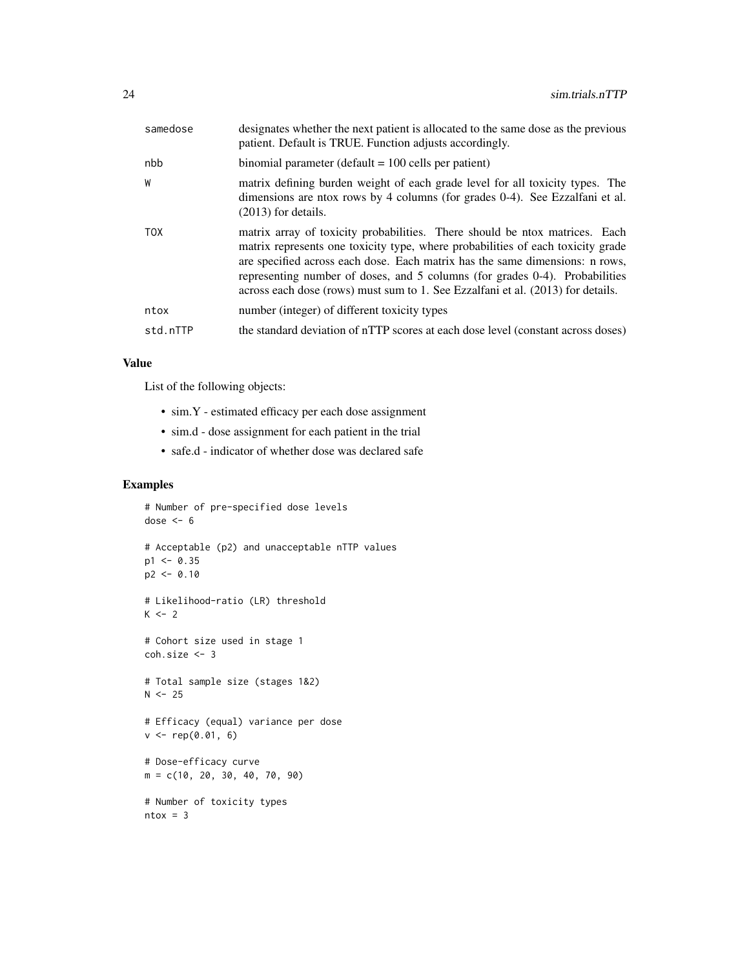| samedose   | designates whether the next patient is allocated to the same dose as the previous<br>patient. Default is TRUE. Function adjusts accordingly.                                                                                                                                                                                                                                                                     |
|------------|------------------------------------------------------------------------------------------------------------------------------------------------------------------------------------------------------------------------------------------------------------------------------------------------------------------------------------------------------------------------------------------------------------------|
| nbb        | binomial parameter (default $= 100$ cells per patient)                                                                                                                                                                                                                                                                                                                                                           |
| W          | matrix defining burden weight of each grade level for all toxicity types. The<br>dimensions are ntox rows by 4 columns (for grades 0-4). See Ezzalfani et al.<br>$(2013)$ for details.                                                                                                                                                                                                                           |
| <b>TOX</b> | matrix array of toxicity probabilities. There should be ntox matrices. Each<br>matrix represents one toxicity type, where probabilities of each toxicity grade<br>are specified across each dose. Each matrix has the same dimensions: n rows,<br>representing number of doses, and 5 columns (for grades 0-4). Probabilities<br>across each dose (rows) must sum to 1. See Ezzalfani et al. (2013) for details. |
| ntox       | number (integer) of different toxicity types                                                                                                                                                                                                                                                                                                                                                                     |
| std.nTTP   | the standard deviation of nTTP scores at each dose level (constant across doses)                                                                                                                                                                                                                                                                                                                                 |

# Value

List of the following objects:

- sim.Y estimated efficacy per each dose assignment
- sim.d dose assignment for each patient in the trial
- safe.d indicator of whether dose was declared safe

```
# Number of pre-specified dose levels
dose <-6# Acceptable (p2) and unacceptable nTTP values
p1 < -0.35p2 < -0.10# Likelihood-ratio (LR) threshold
K < - 2# Cohort size used in stage 1
coh.size <- 3
# Total sample size (stages 1&2)
N < -25# Efficacy (equal) variance per dose
v \leq rep(0.01, 6)# Dose-efficacy curve
m = c(10, 20, 30, 40, 70, 90)
# Number of toxicity types
ntox = 3
```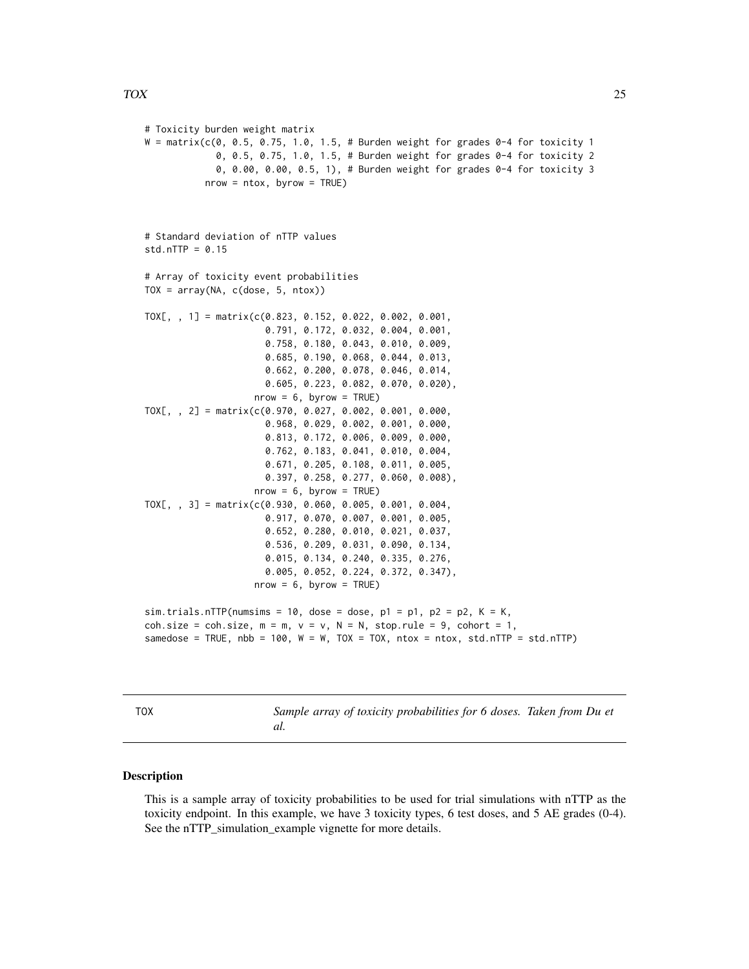#### <span id="page-24-0"></span>TOX 25

# Toxicity burden weight matrix  $W = matrix(c(0, 0.5, 0.75, 1.0, 1.5, # Burden weight for grades 0-4 for toxicity 1)$ 0, 0.5, 0.75, 1.0, 1.5, # Burden weight for grades 0-4 for toxicity 2 0, 0.00, 0.00, 0.5, 1), # Burden weight for grades 0-4 for toxicity 3  $nrow = ntox$ ,  $byrow = TRUE$ ) # Standard deviation of nTTP values  $std.nTTP = 0.15$ # Array of toxicity event probabilities  $TOX = array(NA, c(dose, 5, ntox))$ TOX[, , 1] = matrix(c(0.823, 0.152, 0.022, 0.002, 0.001, 0.791, 0.172, 0.032, 0.004, 0.001, 0.758, 0.180, 0.043, 0.010, 0.009, 0.685, 0.190, 0.068, 0.044, 0.013, 0.662, 0.200, 0.078, 0.046, 0.014, 0.605, 0.223, 0.082, 0.070, 0.020),  $nrow = 6$ , byrow = TRUE) TOX[, , 2] = matrix(c(0.970, 0.027, 0.002, 0.001, 0.000, 0.968, 0.029, 0.002, 0.001, 0.000, 0.813, 0.172, 0.006, 0.009, 0.000, 0.762, 0.183, 0.041, 0.010, 0.004, 0.671, 0.205, 0.108, 0.011, 0.005, 0.397, 0.258, 0.277, 0.060, 0.008),  $nrow = 6$ , byrow = TRUE) TOX[, , 3] = matrix(c(0.930, 0.060, 0.005, 0.001, 0.004, 0.917, 0.070, 0.007, 0.001, 0.005, 0.652, 0.280, 0.010, 0.021, 0.037, 0.536, 0.209, 0.031, 0.090, 0.134, 0.015, 0.134, 0.240, 0.335, 0.276, 0.005, 0.052, 0.224, 0.372, 0.347),  $nrow = 6$ , byrow = TRUE)  $sim.$  trials.nTTP(numsims = 10, dose = dose,  $p1 = p1$ ,  $p2 = p2$ ,  $K = K$ , coh.size = coh.size,  $m = m$ ,  $v = v$ ,  $N = N$ , stop.rule = 9, cohort = 1,

samedose = TRUE,  $nb = 100$ ,  $W = W$ ,  $TOX = TOX$ ,  $ntox = ntox$ ,  $std.nTTP = std.nTTP$ 

TOX *Sample array of toxicity probabilities for 6 doses. Taken from Du et al.*

#### Description

This is a sample array of toxicity probabilities to be used for trial simulations with nTTP as the toxicity endpoint. In this example, we have 3 toxicity types, 6 test doses, and 5 AE grades (0-4). See the nTTP\_simulation\_example vignette for more details.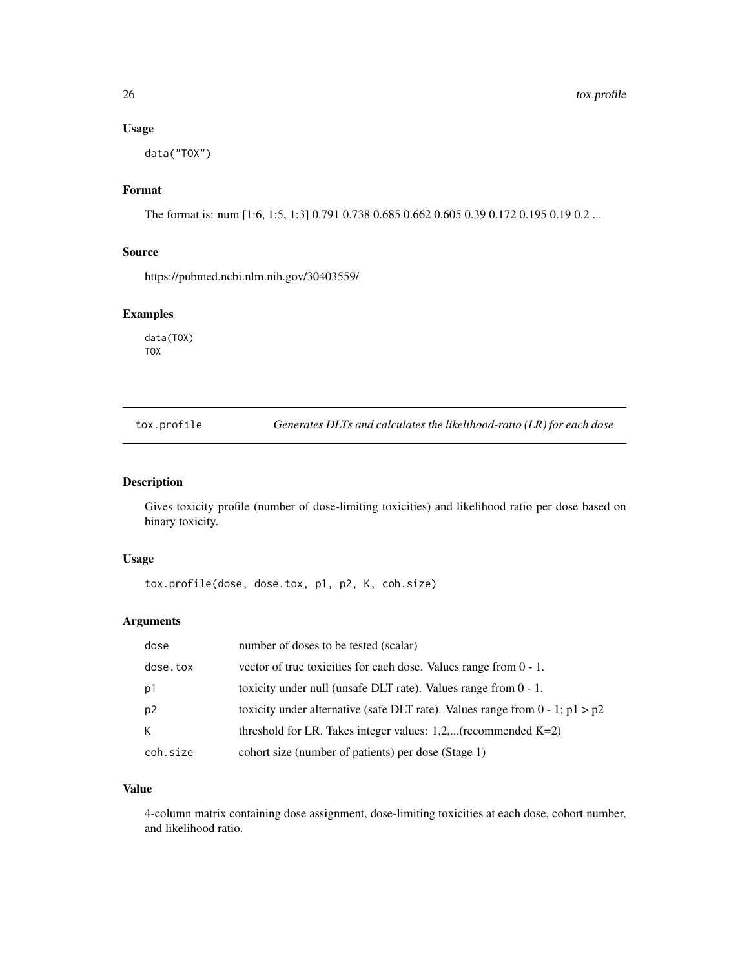## <span id="page-25-0"></span>Usage

data("TOX")

# Format

The format is: num [1:6, 1:5, 1:3] 0.791 0.738 0.685 0.662 0.605 0.39 0.172 0.195 0.19 0.2 ...

#### Source

https://pubmed.ncbi.nlm.nih.gov/30403559/

# Examples

data(TOX) TOX

tox.profile *Generates DLTs and calculates the likelihood-ratio (LR) for each dose*

# Description

Gives toxicity profile (number of dose-limiting toxicities) and likelihood ratio per dose based on binary toxicity.

# Usage

```
tox.profile(dose, dose.tox, p1, p2, K, coh.size)
```
#### Arguments

| dose           | number of doses to be tested (scalar)                                             |
|----------------|-----------------------------------------------------------------------------------|
| dose.tox       | vector of true toxicities for each dose. Values range from $0 - 1$ .              |
| p1             | toxicity under null (unsafe DLT rate). Values range from $0 - 1$ .                |
| p <sub>2</sub> | toxicity under alternative (safe DLT rate). Values range from $0 - 1$ ; $p1 > p2$ |
| К              | threshold for LR. Takes integer values: $1,2,$ (recommended K=2)                  |
| coh.size       | cohort size (number of patients) per dose (Stage 1)                               |

#### Value

4-column matrix containing dose assignment, dose-limiting toxicities at each dose, cohort number, and likelihood ratio.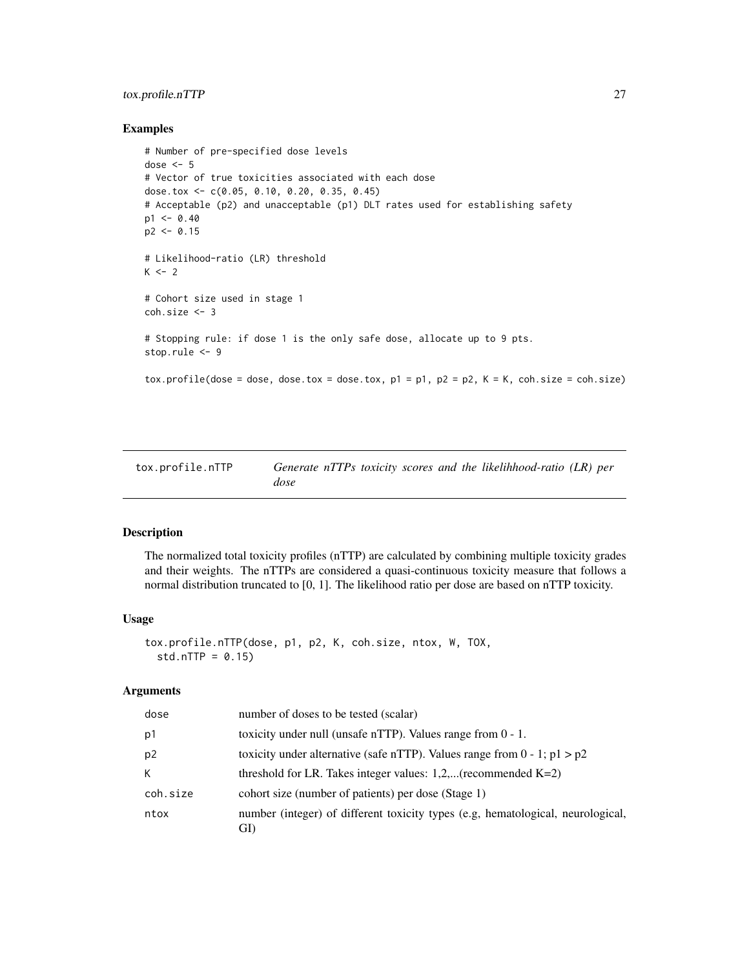# <span id="page-26-0"></span>tox.profile.nTTP 27

#### Examples

```
# Number of pre-specified dose levels
dose <-5# Vector of true toxicities associated with each dose
dose.tox <- c(0.05, 0.10, 0.20, 0.35, 0.45)
# Acceptable (p2) and unacceptable (p1) DLT rates used for establishing safety
p1 < -0.40p2 < -0.15# Likelihood-ratio (LR) threshold
K < -2# Cohort size used in stage 1
coh.size <- 3
# Stopping rule: if dose 1 is the only safe dose, allocate up to 9 pts.
stop.rule <- 9
tox.profile(dose = dose, dose.tox = dose.tox, p1 = p1, p2 = p2, K = K, coh.size = coh.size)
```

| tox.profile.nTTP |      |  |  | Generate nTTPs toxicity scores and the likelihhood-ratio (LR) per |  |
|------------------|------|--|--|-------------------------------------------------------------------|--|
|                  | dose |  |  |                                                                   |  |

# Description

The normalized total toxicity profiles (nTTP) are calculated by combining multiple toxicity grades and their weights. The nTTPs are considered a quasi-continuous toxicity measure that follows a normal distribution truncated to [0, 1]. The likelihood ratio per dose are based on nTTP toxicity.

#### Usage

```
tox.profile.nTTP(dose, p1, p2, K, coh.size, ntox, W, TOX,
  std.nTTP = 0.15)
```

| dose           | number of doses to be tested (scalar)                                                  |
|----------------|----------------------------------------------------------------------------------------|
| p1             | toxicity under null (unsafe nTTP). Values range from 0 - 1.                            |
| p <sub>2</sub> | toxicity under alternative (safe nTTP). Values range from $0 - 1$ ; $p1 > p2$          |
| K              | threshold for LR. Takes integer values: $1,2,$ (recommended K=2)                       |
| coh.size       | cohort size (number of patients) per dose (Stage 1)                                    |
| ntox           | number (integer) of different toxicity types (e.g, hematological, neurological,<br>GI) |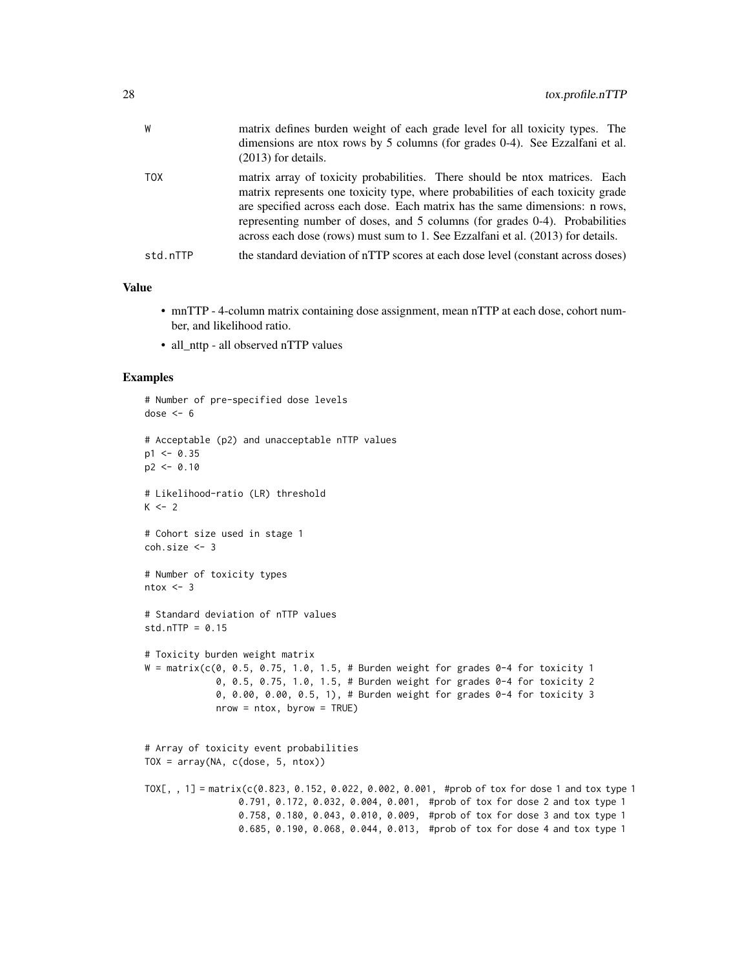| W          | matrix defines burden weight of each grade level for all toxicity types. The<br>dimensions are ntox rows by 5 columns (for grades 0-4). See Ezzalfani et al.<br>$(2013)$ for details.                                                                                                                                                                                                                            |
|------------|------------------------------------------------------------------------------------------------------------------------------------------------------------------------------------------------------------------------------------------------------------------------------------------------------------------------------------------------------------------------------------------------------------------|
| <b>TOX</b> | matrix array of toxicity probabilities. There should be ntox matrices. Each<br>matrix represents one toxicity type, where probabilities of each toxicity grade<br>are specified across each dose. Each matrix has the same dimensions: n rows,<br>representing number of doses, and 5 columns (for grades 0-4). Probabilities<br>across each dose (rows) must sum to 1. See Ezzalfani et al. (2013) for details. |
| std.nTTP   | the standard deviation of nTTP scores at each dose level (constant across doses)                                                                                                                                                                                                                                                                                                                                 |

## Value

- mnTTP 4-column matrix containing dose assignment, mean nTTP at each dose, cohort number, and likelihood ratio.
- all nttp all observed nTTP values

```
# Number of pre-specified dose levels
dose <-6# Acceptable (p2) and unacceptable nTTP values
p1 < -0.35p2 < -0.10# Likelihood-ratio (LR) threshold
K < -2# Cohort size used in stage 1
coh.size <- 3
# Number of toxicity types
ntox < -3# Standard deviation of nTTP values
std.nTTP = 0.15# Toxicity burden weight matrix
W = \text{matrix}(c(0, 0.5, 0.75, 1.0, 1.5, # Burden weight for grades 0-4 for toxicity 1)0, 0.5, 0.75, 1.0, 1.5, # Burden weight for grades 0-4 for toxicity 2
             0, 0.00, 0.00, 0.5, 1), # Burden weight for grades 0-4 for toxicity 3
             nrow = ntox, byrow = TRUE)
# Array of toxicity event probabilities
TOX = array(NA, c(dose, 5, ntox))TOX[, , 1] = matrix(c(0.823, 0.152, 0.022, 0.002, 0.001, #prob of tox for dose 1 and tox type 1
                 0.791, 0.172, 0.032, 0.004, 0.001, #prob of tox for dose 2 and tox type 1
                 0.758, 0.180, 0.043, 0.010, 0.009, #prob of tox for dose 3 and tox type 1
                 0.685, 0.190, 0.068, 0.044, 0.013, #prob of tox for dose 4 and tox type 1
```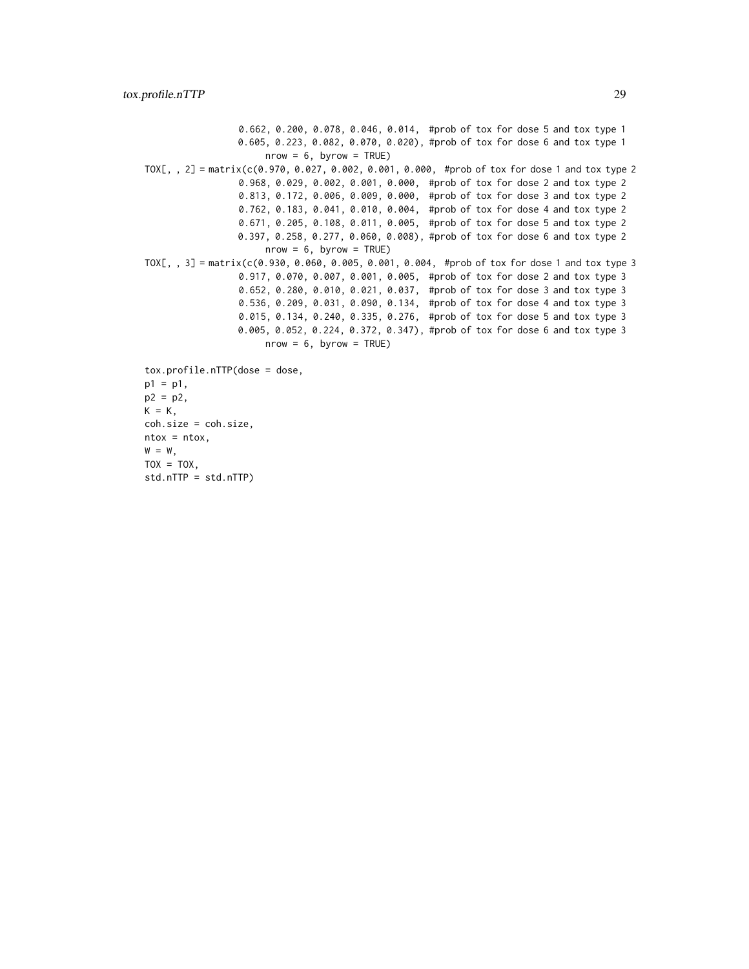0.662, 0.200, 0.078, 0.046, 0.014, #prob of tox for dose 5 and tox type 1 0.605, 0.223, 0.082, 0.070, 0.020), #prob of tox for dose 6 and tox type 1  $nrow = 6$ , byrow = TRUE) TOX[, , 2] = matrix(c(0.970, 0.027, 0.002, 0.001, 0.000, #prob of tox for dose 1 and tox type 2 0.968, 0.029, 0.002, 0.001, 0.000, #prob of tox for dose 2 and tox type 2 0.813, 0.172, 0.006, 0.009, 0.000, #prob of tox for dose 3 and tox type 2 0.762, 0.183, 0.041, 0.010, 0.004, #prob of tox for dose 4 and tox type 2 0.671, 0.205, 0.108, 0.011, 0.005, #prob of tox for dose 5 and tox type 2 0.397, 0.258, 0.277, 0.060, 0.008), #prob of tox for dose 6 and tox type 2  $nrow = 6$ , byrow = TRUE) TOX[, , 3] = matrix(c(0.930, 0.060, 0.005, 0.001, 0.004, #prob of tox for dose 1 and tox type 3 0.917, 0.070, 0.007, 0.001, 0.005, #prob of tox for dose 2 and tox type 3 0.652, 0.280, 0.010, 0.021, 0.037, #prob of tox for dose 3 and tox type 3 0.536, 0.209, 0.031, 0.090, 0.134, #prob of tox for dose 4 and tox type 3 0.015, 0.134, 0.240, 0.335, 0.276, #prob of tox for dose 5 and tox type 3 0.005, 0.052, 0.224, 0.372, 0.347), #prob of tox for dose 6 and tox type 3  $nrow = 6$ , byrow = TRUE) tox.profile.nTTP(dose = dose,  $p1 = p1$ ,  $p2 = p2$ ,  $K = K$ , coh.size = coh.size,  $ntox = ntox,$  $W = W,$ 

 $TOX = TOX,$ 

std.nTTP = std.nTTP)